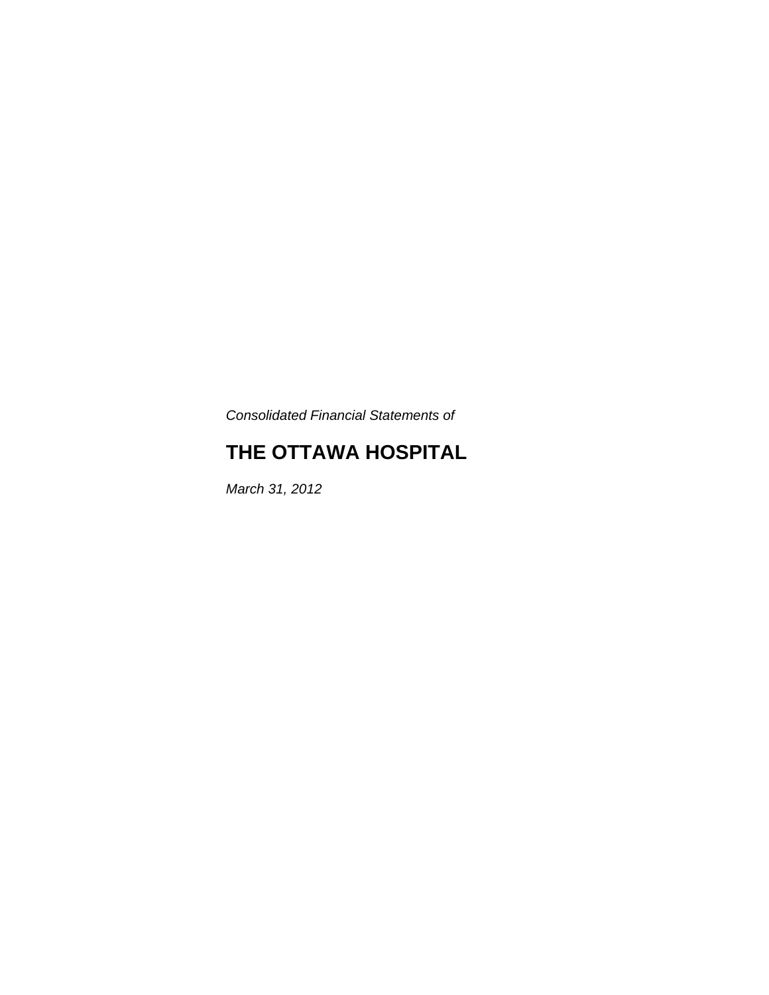*Consolidated Financial Statements of* 

# **THE OTTAWA HOSPITAL**

*March 31, 2012*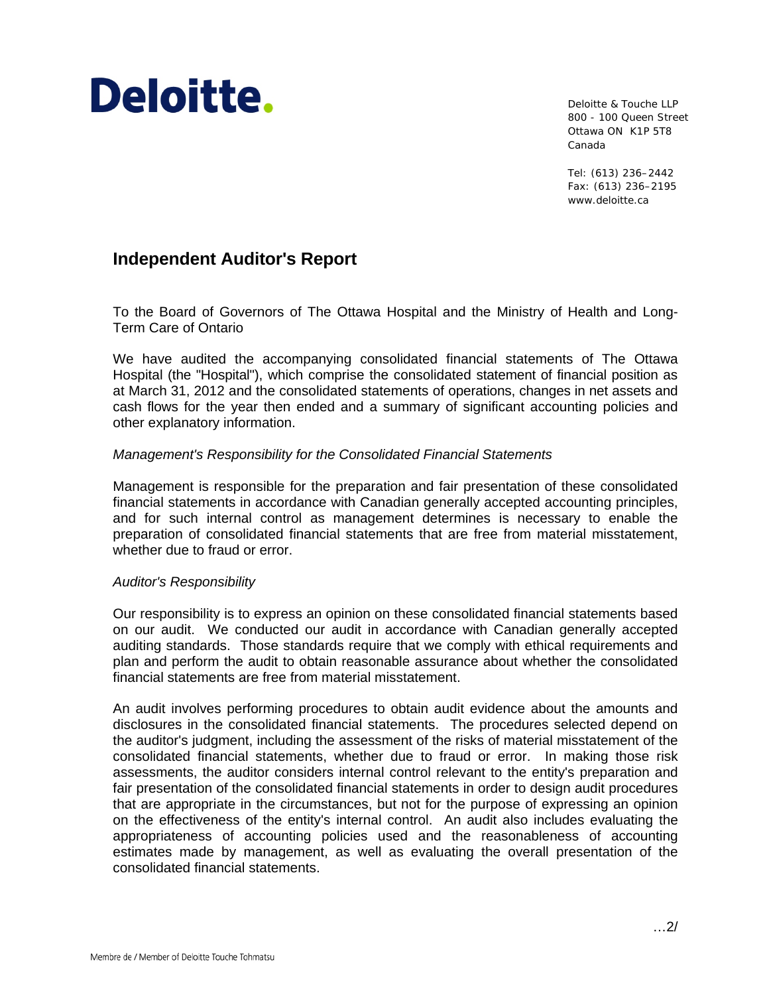

Deloitte & Touche LLP 800 - 100 Queen Street Ottawa ON K1P 5T8 Canada

Tel: (613) 236–2442 Fax: (613) 236–2195 www.deloitte.ca

# **Independent Auditor's Report**

To the Board of Governors of The Ottawa Hospital and the Ministry of Health and Long-Term Care of Ontario

We have audited the accompanying consolidated financial statements of The Ottawa Hospital (the "Hospital"), which comprise the consolidated statement of financial position as at March 31, 2012 and the consolidated statements of operations, changes in net assets and cash flows for the year then ended and a summary of significant accounting policies and other explanatory information.

# *Management's Responsibility for the Consolidated Financial Statements*

Management is responsible for the preparation and fair presentation of these consolidated financial statements in accordance with Canadian generally accepted accounting principles, and for such internal control as management determines is necessary to enable the preparation of consolidated financial statements that are free from material misstatement, whether due to fraud or error.

#### *Auditor's Responsibility*

Our responsibility is to express an opinion on these consolidated financial statements based on our audit. We conducted our audit in accordance with Canadian generally accepted auditing standards. Those standards require that we comply with ethical requirements and plan and perform the audit to obtain reasonable assurance about whether the consolidated financial statements are free from material misstatement.

An audit involves performing procedures to obtain audit evidence about the amounts and disclosures in the consolidated financial statements. The procedures selected depend on the auditor's judgment, including the assessment of the risks of material misstatement of the consolidated financial statements, whether due to fraud or error. In making those risk assessments, the auditor considers internal control relevant to the entity's preparation and fair presentation of the consolidated financial statements in order to design audit procedures that are appropriate in the circumstances, but not for the purpose of expressing an opinion on the effectiveness of the entity's internal control. An audit also includes evaluating the appropriateness of accounting policies used and the reasonableness of accounting estimates made by management, as well as evaluating the overall presentation of the consolidated financial statements.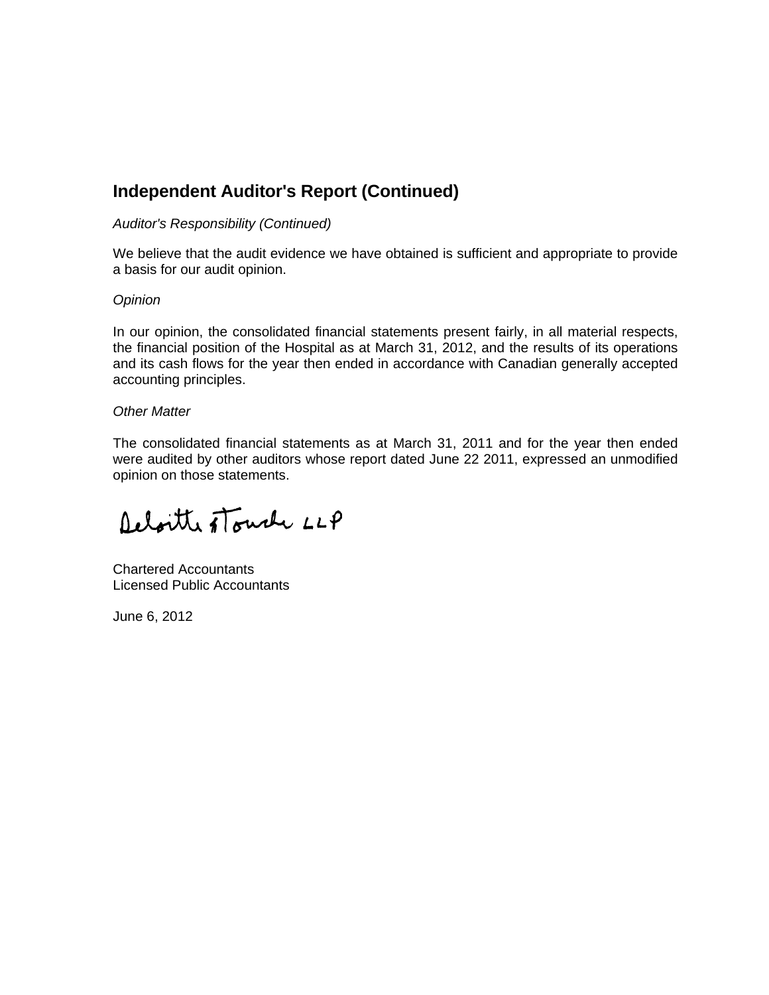# **Independent Auditor's Report (Continued)**

# *Auditor's Responsibility (Continued)*

We believe that the audit evidence we have obtained is sufficient and appropriate to provide a basis for our audit opinion.

# *Opinion*

In our opinion, the consolidated financial statements present fairly, in all material respects, the financial position of the Hospital as at March 31, 2012, and the results of its operations and its cash flows for the year then ended in accordance with Canadian generally accepted accounting principles.

# *Other Matter*

The consolidated financial statements as at March 31, 2011 and for the year then ended were audited by other auditors whose report dated June 22 2011, expressed an unmodified opinion on those statements.

Deloitte stouch LLP

Chartered Accountants Licensed Public Accountants

June 6, 2012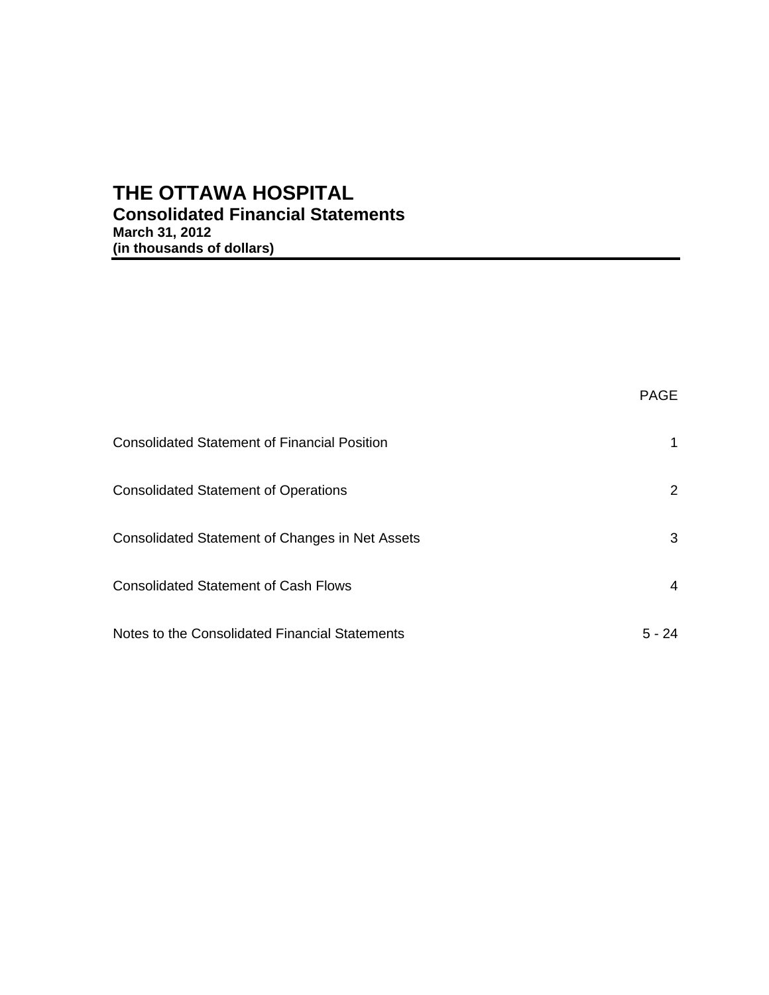# **THE OTTAWA HOSPITAL Consolidated Financial Statements March 31, 2012 (in thousands of dollars)**

|                                                        | PAGE   |
|--------------------------------------------------------|--------|
| <b>Consolidated Statement of Financial Position</b>    |        |
| <b>Consolidated Statement of Operations</b>            | 2      |
| <b>Consolidated Statement of Changes in Net Assets</b> | 3      |
| <b>Consolidated Statement of Cash Flows</b>            | 4      |
| Notes to the Consolidated Financial Statements         | 5 - 24 |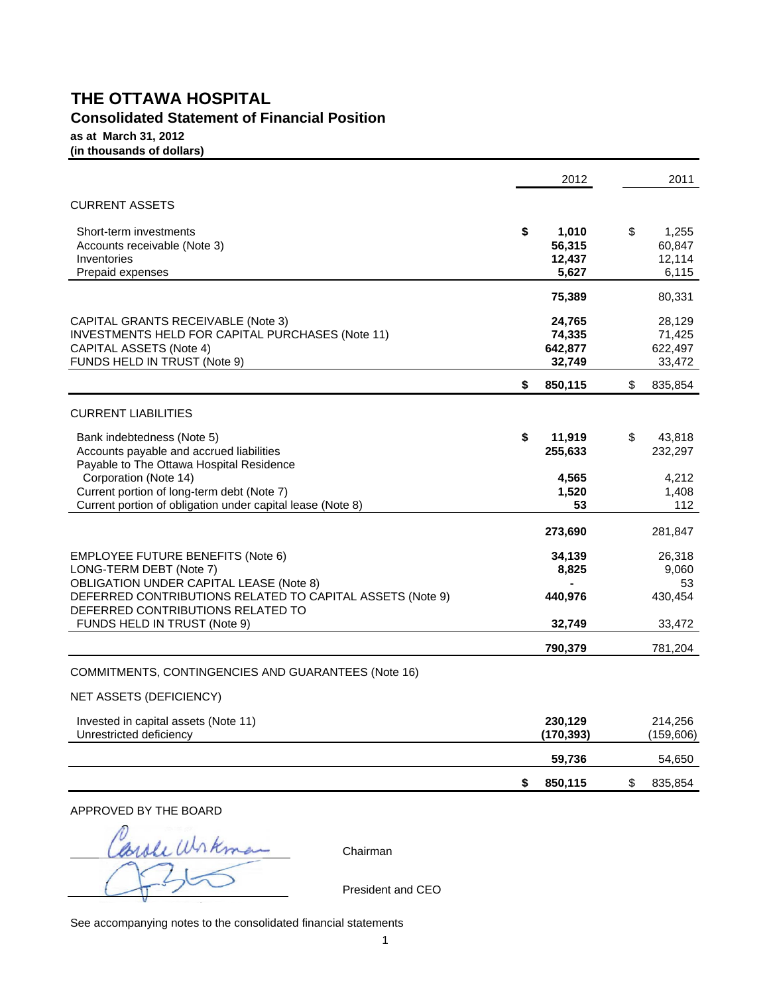# **THE OTTAWA HOSPITAL Consolidated Statement of Financial Position**

# **as at March 31, 2012**

|                                                                                                                                                   | 2012                                     | 2011                                     |
|---------------------------------------------------------------------------------------------------------------------------------------------------|------------------------------------------|------------------------------------------|
| <b>CURRENT ASSETS</b>                                                                                                                             |                                          |                                          |
| Short-term investments<br>Accounts receivable (Note 3)<br>Inventories<br>Prepaid expenses                                                         | \$<br>1,010<br>56,315<br>12,437<br>5,627 | \$<br>1,255<br>60,847<br>12,114<br>6,115 |
|                                                                                                                                                   | 75,389                                   | 80,331                                   |
| CAPITAL GRANTS RECEIVABLE (Note 3)<br>INVESTMENTS HELD FOR CAPITAL PURCHASES (Note 11)<br>CAPITAL ASSETS (Note 4)<br>FUNDS HELD IN TRUST (Note 9) | 24.765<br>74,335<br>642,877<br>32,749    | 28.129<br>71,425<br>622,497<br>33,472    |
|                                                                                                                                                   | \$<br>850,115                            | \$<br>835,854                            |
| <b>CURRENT LIABILITIES</b>                                                                                                                        |                                          |                                          |
| Bank indebtedness (Note 5)<br>Accounts payable and accrued liabilities<br>Payable to The Ottawa Hospital Residence                                | \$<br>11,919<br>255,633                  | \$<br>43,818<br>232,297                  |
| Corporation (Note 14)<br>Current portion of long-term debt (Note 7)<br>Current portion of obligation under capital lease (Note 8)                 | 4,565<br>1,520<br>53                     | 4,212<br>1,408<br>112                    |
|                                                                                                                                                   | 273,690                                  | 281,847                                  |
| <b>EMPLOYEE FUTURE BENEFITS (Note 6)</b><br>LONG-TERM DEBT (Note 7)<br><b>OBLIGATION UNDER CAPITAL LEASE (Note 8)</b>                             | 34,139<br>8,825                          | 26,318<br>9,060<br>53                    |
| DEFERRED CONTRIBUTIONS RELATED TO CAPITAL ASSETS (Note 9)<br>DEFERRED CONTRIBUTIONS RELATED TO                                                    | 440,976                                  | 430,454                                  |
| FUNDS HELD IN TRUST (Note 9)                                                                                                                      | 32,749                                   | 33,472                                   |
|                                                                                                                                                   | 790,379                                  | 781,204                                  |
| COMMITMENTS, CONTINGENCIES AND GUARANTEES (Note 16)                                                                                               |                                          |                                          |
| NET ASSETS (DEFICIENCY)                                                                                                                           |                                          |                                          |
| Invested in capital assets (Note 11)<br>Unrestricted deficiency                                                                                   | 230,129<br>(170, 393)                    | 214,256<br>(159, 606)                    |
|                                                                                                                                                   | 59,736                                   | 54,650                                   |
|                                                                                                                                                   | \$<br>850,115                            | \$<br>835,854                            |

# APPROVED BY THE BOARD

Carole Wrkman Chairman

President and CEO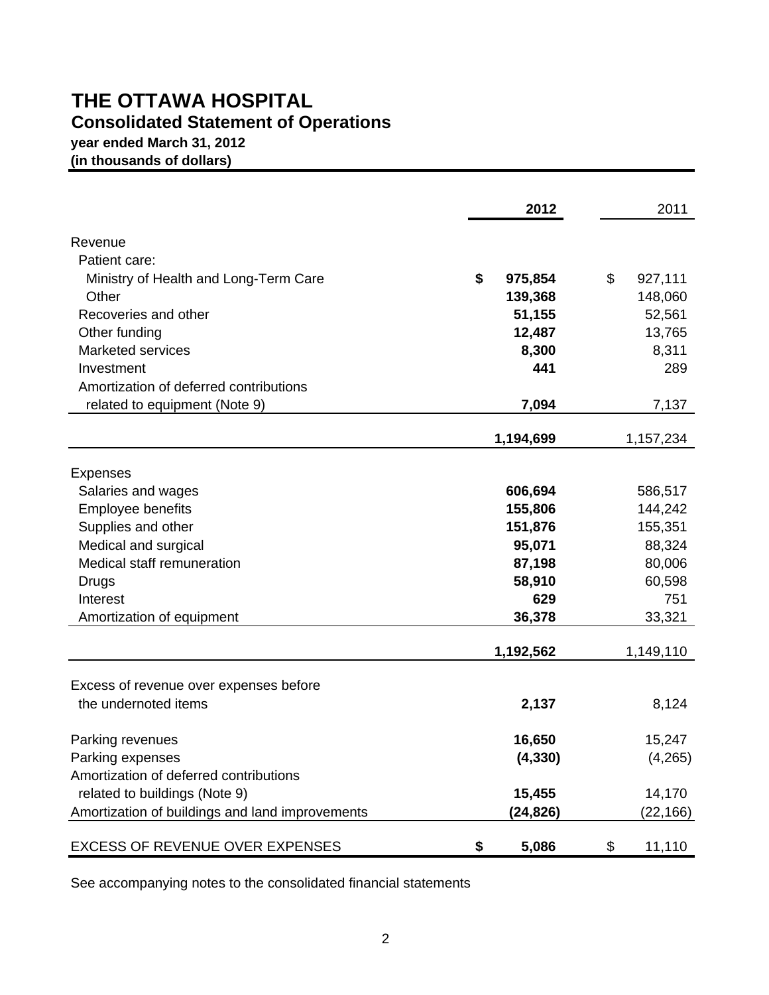# **THE OTTAWA HOSPITAL**

# **Consolidated Statement of Operations**

**year ended March 31, 2012**

**(in thousands of dollars)**

|                                                 | 2012          | 2011          |
|-------------------------------------------------|---------------|---------------|
| Revenue                                         |               |               |
| Patient care:                                   |               |               |
| Ministry of Health and Long-Term Care           | \$<br>975,854 | \$<br>927,111 |
| Other                                           | 139,368       | 148,060       |
| Recoveries and other                            | 51,155        | 52,561        |
| Other funding                                   | 12,487        | 13,765        |
| <b>Marketed services</b>                        | 8,300         | 8,311         |
| Investment                                      | 441           | 289           |
| Amortization of deferred contributions          |               |               |
| related to equipment (Note 9)                   | 7,094         | 7,137         |
|                                                 | 1,194,699     | 1,157,234     |
| <b>Expenses</b>                                 |               |               |
| Salaries and wages                              | 606,694       | 586,517       |
| <b>Employee benefits</b>                        | 155,806       | 144,242       |
| Supplies and other                              | 151,876       | 155,351       |
| Medical and surgical                            | 95,071        | 88,324        |
| Medical staff remuneration                      | 87,198        | 80,006        |
| Drugs                                           | 58,910        | 60,598        |
| Interest                                        | 629           | 751           |
| Amortization of equipment                       | 36,378        | 33,321        |
|                                                 | 1,192,562     | 1,149,110     |
|                                                 |               |               |
| Excess of revenue over expenses before          |               |               |
| the undernoted items                            | 2,137         | 8,124         |
| Parking revenues                                | 16,650        | 15,247        |
| Parking expenses                                | (4, 330)      | (4,265)       |
| Amortization of deferred contributions          |               |               |
| related to buildings (Note 9)                   | 15,455        | 14,170        |
| Amortization of buildings and land improvements | (24,826)      | (22, 166)     |
| EXCESS OF REVENUE OVER EXPENSES                 | 5,086<br>\$   | 11,110<br>\$  |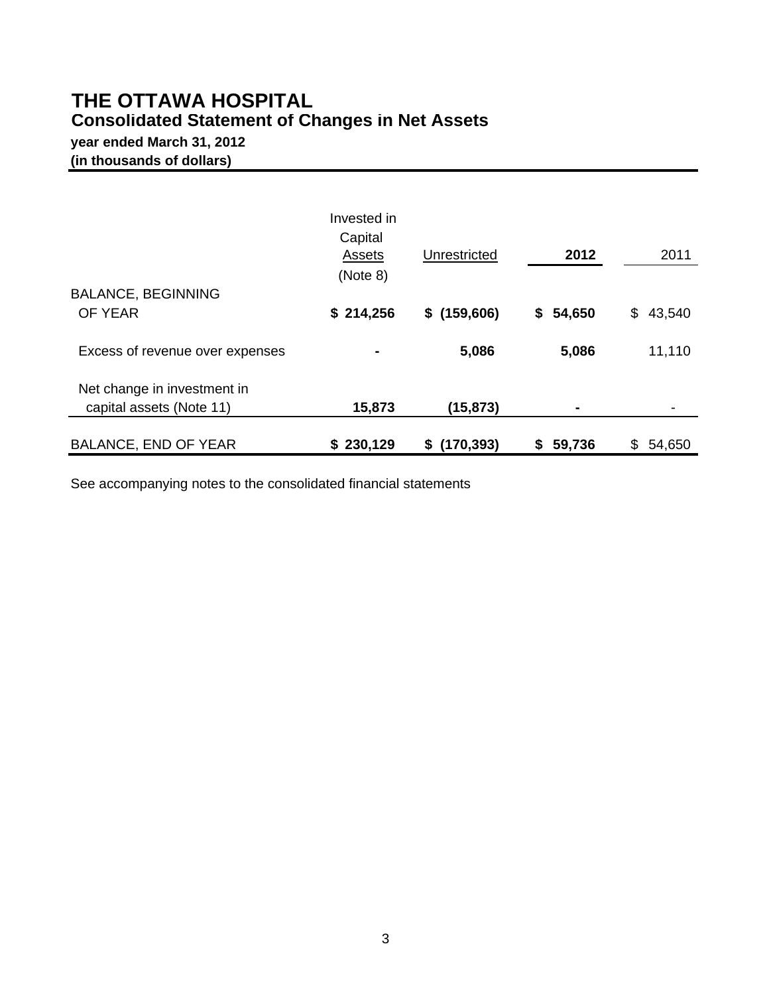# **THE OTTAWA HOSPITAL Consolidated Statement of Changes in Net Assets**

**year ended March 31, 2012 (in thousands of dollars)**

|                                 | Invested in<br>Capital<br>Assets<br>(Note 8) | Unrestricted     | 2012        | 2011          |
|---------------------------------|----------------------------------------------|------------------|-------------|---------------|
| <b>BALANCE, BEGINNING</b>       |                                              |                  |             |               |
| OF YEAR                         | \$214,256                                    | \$(159,606)      | \$54,650    | \$43,540      |
| Excess of revenue over expenses | ٠                                            | 5,086            | 5,086       | 11,110        |
| Net change in investment in     |                                              |                  |             |               |
| capital assets (Note 11)        | 15,873                                       | (15, 873)        |             |               |
| <b>BALANCE, END OF YEAR</b>     | \$230,129                                    | (170, 393)<br>\$ | 59,736<br>S | \$.<br>54,650 |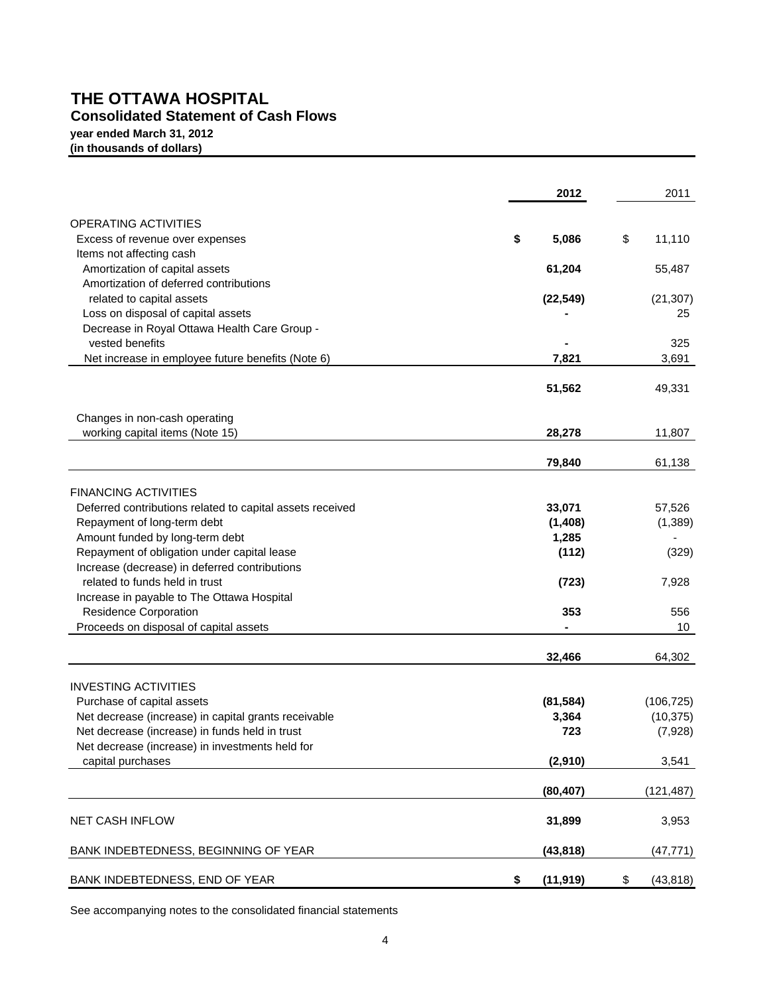# **THE OTTAWA HOSPITAL Consolidated Statement of Cash Flows**

**year ended March 31, 2012 (in thousands of dollars)**

|                                                                                 | 2012            | 2011            |
|---------------------------------------------------------------------------------|-----------------|-----------------|
| OPERATING ACTIVITIES                                                            |                 |                 |
| Excess of revenue over expenses                                                 | \$<br>5,086     | \$<br>11,110    |
| Items not affecting cash<br>Amortization of capital assets                      | 61,204          | 55,487          |
| Amortization of deferred contributions                                          |                 |                 |
| related to capital assets                                                       | (22, 549)       | (21, 307)       |
| Loss on disposal of capital assets                                              |                 | 25              |
| Decrease in Royal Ottawa Health Care Group -                                    |                 |                 |
| vested benefits<br>Net increase in employee future benefits (Note 6)            | 7,821           | 325<br>3,691    |
|                                                                                 |                 |                 |
|                                                                                 | 51,562          | 49,331          |
| Changes in non-cash operating                                                   |                 |                 |
| working capital items (Note 15)                                                 | 28,278          | 11,807          |
|                                                                                 | 79,840          | 61,138          |
| <b>FINANCING ACTIVITIES</b>                                                     |                 |                 |
| Deferred contributions related to capital assets received                       | 33,071          | 57,526          |
| Repayment of long-term debt                                                     | (1,408)         | (1, 389)        |
| Amount funded by long-term debt                                                 | 1,285           |                 |
| Repayment of obligation under capital lease                                     | (112)           | (329)           |
| Increase (decrease) in deferred contributions<br>related to funds held in trust |                 |                 |
| Increase in payable to The Ottawa Hospital                                      | (723)           | 7,928           |
| <b>Residence Corporation</b>                                                    | 353             | 556             |
| Proceeds on disposal of capital assets                                          |                 | 10              |
|                                                                                 | 32,466          | 64,302          |
| <b>INVESTING ACTIVITIES</b>                                                     |                 |                 |
| Purchase of capital assets                                                      | (81, 584)       | (106, 725)      |
| Net decrease (increase) in capital grants receivable                            | 3,364           | (10, 375)       |
| Net decrease (increase) in funds held in trust                                  | 723             | (7,928)         |
| Net decrease (increase) in investments held for                                 |                 |                 |
| capital purchases                                                               | (2,910)         | 3,541           |
|                                                                                 | (80, 407)       | (121, 487)      |
| <b>NET CASH INFLOW</b>                                                          | 31,899          | 3,953           |
| BANK INDEBTEDNESS, BEGINNING OF YEAR                                            | (43, 818)       | (47, 771)       |
| BANK INDEBTEDNESS, END OF YEAR                                                  | \$<br>(11, 919) | \$<br>(43, 818) |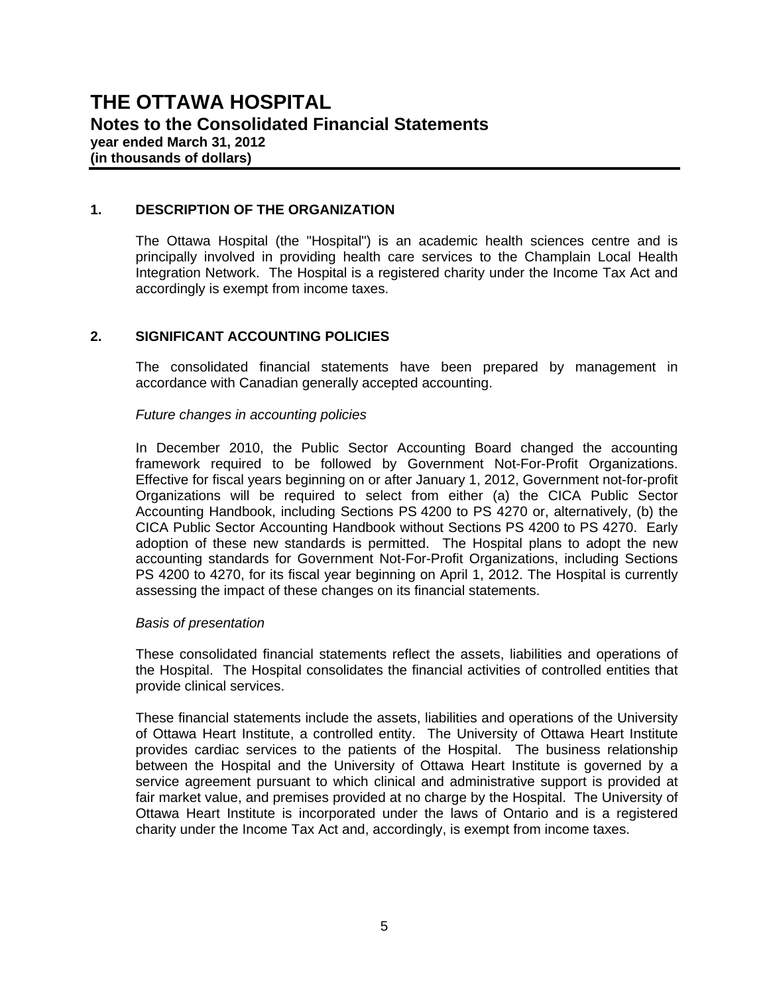# **1. DESCRIPTION OF THE ORGANIZATION**

 The Ottawa Hospital (the "Hospital") is an academic health sciences centre and is principally involved in providing health care services to the Champlain Local Health Integration Network. The Hospital is a registered charity under the Income Tax Act and accordingly is exempt from income taxes.

# **2. SIGNIFICANT ACCOUNTING POLICIES**

The consolidated financial statements have been prepared by management in accordance with Canadian generally accepted accounting.

#### *Future changes in accounting policies*

In December 2010, the Public Sector Accounting Board changed the accounting framework required to be followed by Government Not-For-Profit Organizations. Effective for fiscal years beginning on or after January 1, 2012, Government not-for-profit Organizations will be required to select from either (a) the CICA Public Sector Accounting Handbook, including Sections PS 4200 to PS 4270 or, alternatively, (b) the CICA Public Sector Accounting Handbook without Sections PS 4200 to PS 4270. Early adoption of these new standards is permitted. The Hospital plans to adopt the new accounting standards for Government Not-For-Profit Organizations, including Sections PS 4200 to 4270, for its fiscal year beginning on April 1, 2012. The Hospital is currently assessing the impact of these changes on its financial statements.

#### *Basis of presentation*

These consolidated financial statements reflect the assets, liabilities and operations of the Hospital. The Hospital consolidates the financial activities of controlled entities that provide clinical services.

These financial statements include the assets, liabilities and operations of the University of Ottawa Heart Institute, a controlled entity. The University of Ottawa Heart Institute provides cardiac services to the patients of the Hospital. The business relationship between the Hospital and the University of Ottawa Heart Institute is governed by a service agreement pursuant to which clinical and administrative support is provided at fair market value, and premises provided at no charge by the Hospital. The University of Ottawa Heart Institute is incorporated under the laws of Ontario and is a registered charity under the Income Tax Act and, accordingly, is exempt from income taxes.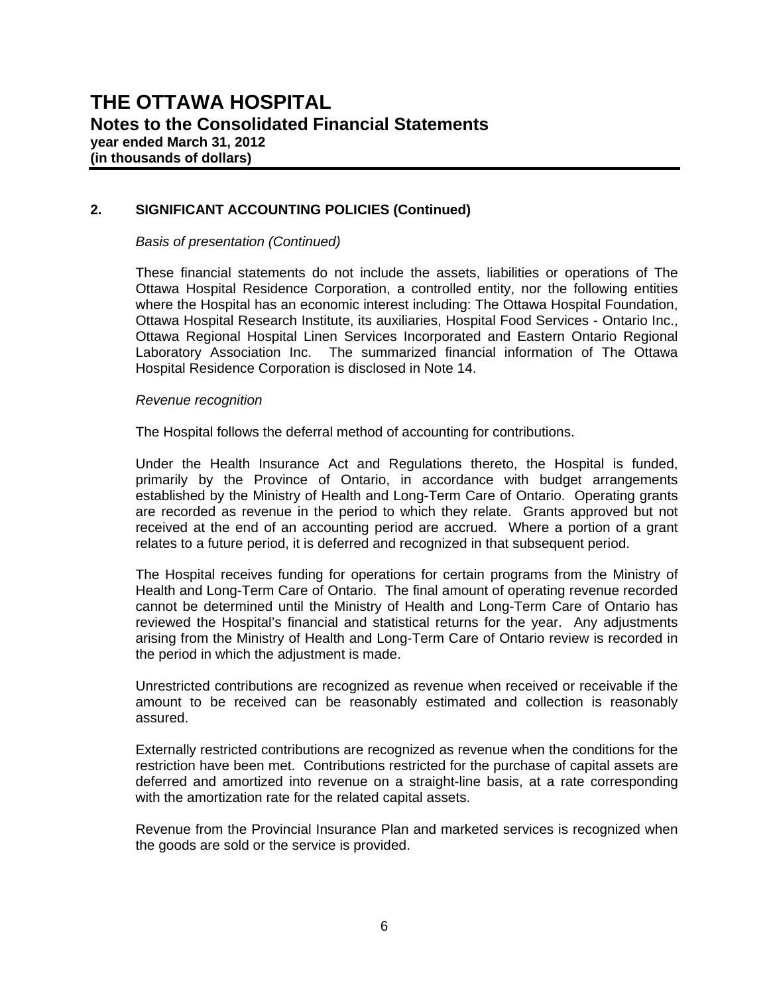# **2. SIGNIFICANT ACCOUNTING POLICIES (Continued)**

# *Basis of presentation (Continued)*

These financial statements do not include the assets, liabilities or operations of The Ottawa Hospital Residence Corporation, a controlled entity, nor the following entities where the Hospital has an economic interest including: The Ottawa Hospital Foundation, Ottawa Hospital Research Institute, its auxiliaries, Hospital Food Services - Ontario Inc., Ottawa Regional Hospital Linen Services Incorporated and Eastern Ontario Regional Laboratory Association Inc. The summarized financial information of The Ottawa Hospital Residence Corporation is disclosed in Note 14.

#### *Revenue recognition*

The Hospital follows the deferral method of accounting for contributions.

Under the Health Insurance Act and Regulations thereto, the Hospital is funded, primarily by the Province of Ontario, in accordance with budget arrangements established by the Ministry of Health and Long-Term Care of Ontario. Operating grants are recorded as revenue in the period to which they relate. Grants approved but not received at the end of an accounting period are accrued. Where a portion of a grant relates to a future period, it is deferred and recognized in that subsequent period.

The Hospital receives funding for operations for certain programs from the Ministry of Health and Long-Term Care of Ontario. The final amount of operating revenue recorded cannot be determined until the Ministry of Health and Long-Term Care of Ontario has reviewed the Hospital's financial and statistical returns for the year. Any adjustments arising from the Ministry of Health and Long-Term Care of Ontario review is recorded in the period in which the adjustment is made.

Unrestricted contributions are recognized as revenue when received or receivable if the amount to be received can be reasonably estimated and collection is reasonably assured.

Externally restricted contributions are recognized as revenue when the conditions for the restriction have been met. Contributions restricted for the purchase of capital assets are deferred and amortized into revenue on a straight-line basis, at a rate corresponding with the amortization rate for the related capital assets.

Revenue from the Provincial Insurance Plan and marketed services is recognized when the goods are sold or the service is provided.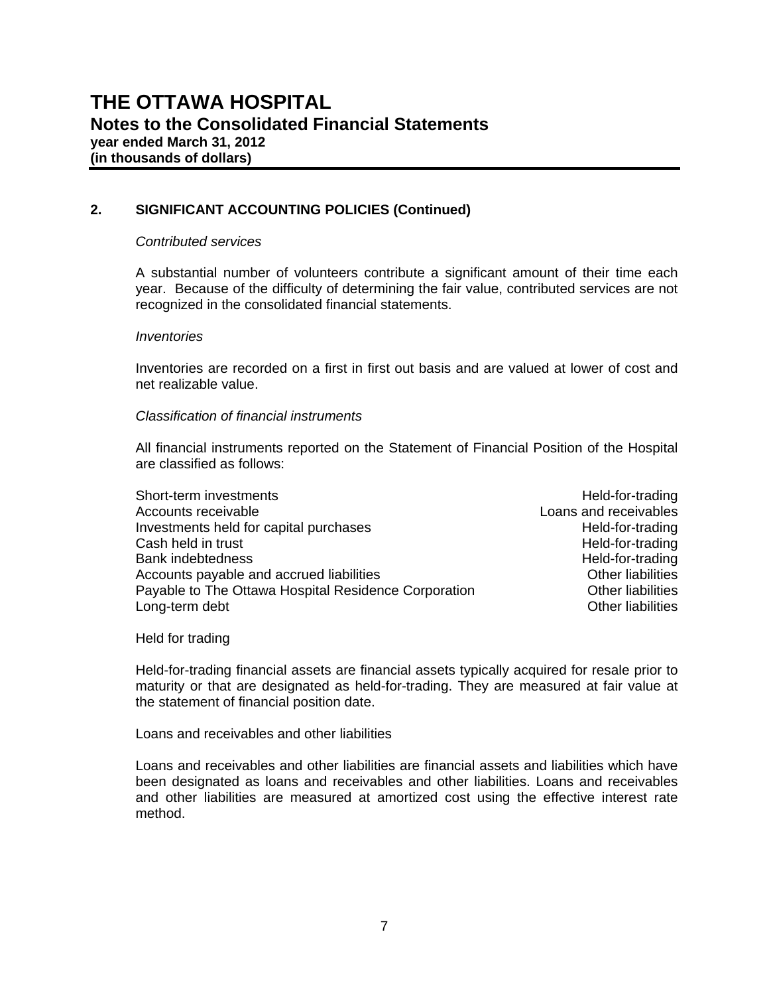# **2. SIGNIFICANT ACCOUNTING POLICIES (Continued)**

# *Contributed services*

A substantial number of volunteers contribute a significant amount of their time each year. Because of the difficulty of determining the fair value, contributed services are not recognized in the consolidated financial statements.

#### *Inventories*

Inventories are recorded on a first in first out basis and are valued at lower of cost and net realizable value.

# *Classification of financial instruments*

All financial instruments reported on the Statement of Financial Position of the Hospital are classified as follows:

Held for trading

Held-for-trading financial assets are financial assets typically acquired for resale prior to maturity or that are designated as held-for-trading. They are measured at fair value at the statement of financial position date.

Loans and receivables and other liabilities

Loans and receivables and other liabilities are financial assets and liabilities which have been designated as loans and receivables and other liabilities. Loans and receivables and other liabilities are measured at amortized cost using the effective interest rate method.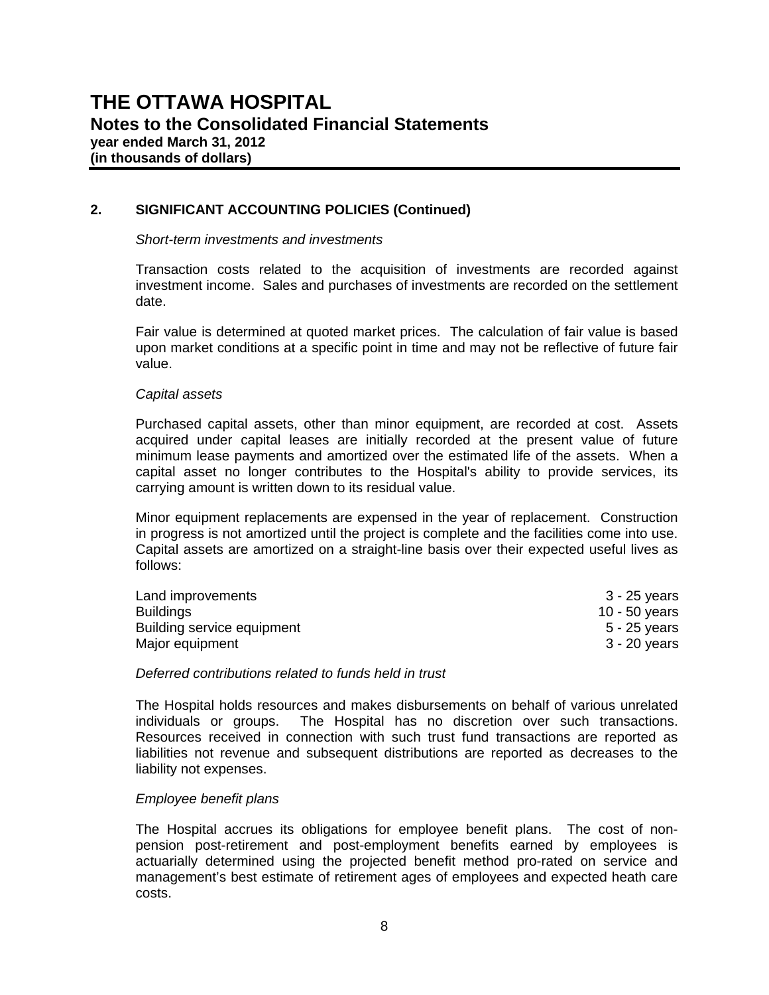### **2. SIGNIFICANT ACCOUNTING POLICIES (Continued)**

#### *Short-term investments and investments*

Transaction costs related to the acquisition of investments are recorded against investment income. Sales and purchases of investments are recorded on the settlement date.

Fair value is determined at quoted market prices. The calculation of fair value is based upon market conditions at a specific point in time and may not be reflective of future fair value.

#### *Capital assets*

Purchased capital assets, other than minor equipment, are recorded at cost. Assets acquired under capital leases are initially recorded at the present value of future minimum lease payments and amortized over the estimated life of the assets. When a capital asset no longer contributes to the Hospital's ability to provide services, its carrying amount is written down to its residual value.

Minor equipment replacements are expensed in the year of replacement. Construction in progress is not amortized until the project is complete and the facilities come into use. Capital assets are amortized on a straight-line basis over their expected useful lives as follows:

| Land improvements          | 3 - 25 years   |
|----------------------------|----------------|
| <b>Buildings</b>           | 10 - 50 years  |
| Building service equipment | 5 - 25 years   |
| Major equipment            | $3 - 20$ years |

#### *Deferred contributions related to funds held in trust*

The Hospital holds resources and makes disbursements on behalf of various unrelated individuals or groups. The Hospital has no discretion over such transactions. Resources received in connection with such trust fund transactions are reported as liabilities not revenue and subsequent distributions are reported as decreases to the liability not expenses.

#### *Employee benefit plans*

The Hospital accrues its obligations for employee benefit plans. The cost of nonpension post-retirement and post-employment benefits earned by employees is actuarially determined using the projected benefit method pro-rated on service and management's best estimate of retirement ages of employees and expected heath care costs.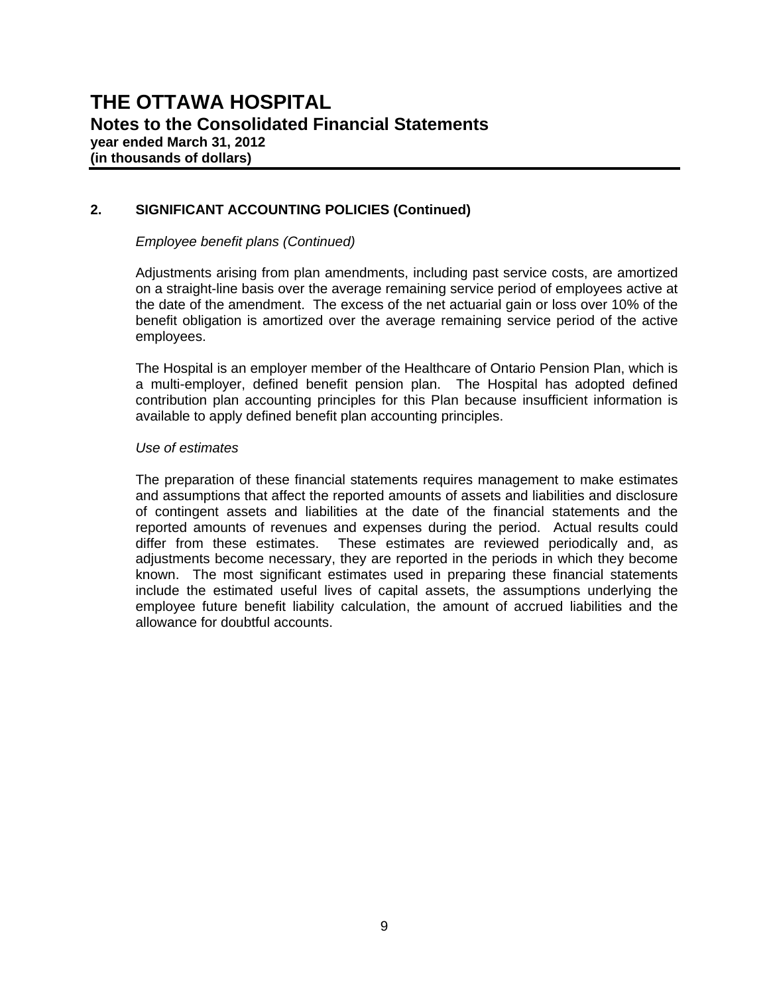# **2. SIGNIFICANT ACCOUNTING POLICIES (Continued)**

#### *Employee benefit plans (Continued)*

Adjustments arising from plan amendments, including past service costs, are amortized on a straight-line basis over the average remaining service period of employees active at the date of the amendment. The excess of the net actuarial gain or loss over 10% of the benefit obligation is amortized over the average remaining service period of the active employees.

The Hospital is an employer member of the Healthcare of Ontario Pension Plan, which is a multi-employer, defined benefit pension plan. The Hospital has adopted defined contribution plan accounting principles for this Plan because insufficient information is available to apply defined benefit plan accounting principles.

#### *Use of estimates*

The preparation of these financial statements requires management to make estimates and assumptions that affect the reported amounts of assets and liabilities and disclosure of contingent assets and liabilities at the date of the financial statements and the reported amounts of revenues and expenses during the period. Actual results could differ from these estimates. These estimates are reviewed periodically and, as adjustments become necessary, they are reported in the periods in which they become known. The most significant estimates used in preparing these financial statements include the estimated useful lives of capital assets, the assumptions underlying the employee future benefit liability calculation, the amount of accrued liabilities and the allowance for doubtful accounts.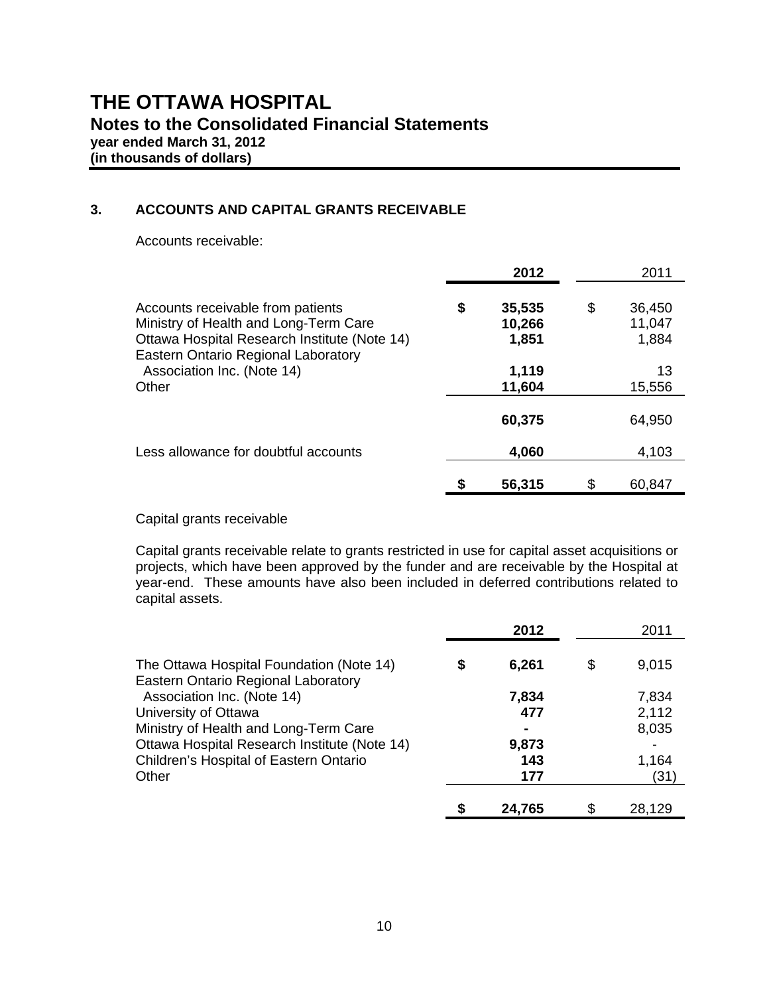**3. ACCOUNTS AND CAPITAL GRANTS RECEIVABLE**

Accounts receivable:

|                                                                                                                                                                   | 2012                            | 2011                            |
|-------------------------------------------------------------------------------------------------------------------------------------------------------------------|---------------------------------|---------------------------------|
| Accounts receivable from patients<br>Ministry of Health and Long-Term Care<br>Ottawa Hospital Research Institute (Note 14)<br>Eastern Ontario Regional Laboratory | \$<br>35,535<br>10,266<br>1,851 | \$<br>36,450<br>11,047<br>1,884 |
| Association Inc. (Note 14)                                                                                                                                        | 1,119                           | 13                              |
| Other                                                                                                                                                             | 11,604                          | 15,556                          |
|                                                                                                                                                                   | 60,375                          | 64,950                          |
| Less allowance for doubtful accounts                                                                                                                              | 4,060                           | 4,103                           |
|                                                                                                                                                                   | 56,315                          | \$<br>60,847                    |

Capital grants receivable

Capital grants receivable relate to grants restricted in use for capital asset acquisitions or projects, which have been approved by the funder and are receivable by the Hospital at year-end. These amounts have also been included in deferred contributions related to capital assets.

|                                                                                 |   | 2012   |    | 2011   |
|---------------------------------------------------------------------------------|---|--------|----|--------|
| The Ottawa Hospital Foundation (Note 14)<br>Eastern Ontario Regional Laboratory | S | 6,261  | \$ | 9,015  |
| Association Inc. (Note 14)                                                      |   | 7,834  |    | 7,834  |
| University of Ottawa                                                            |   | 477    |    | 2,112  |
| Ministry of Health and Long-Term Care                                           |   |        |    | 8,035  |
| Ottawa Hospital Research Institute (Note 14)                                    |   | 9,873  |    |        |
| Children's Hospital of Eastern Ontario                                          |   | 143    |    | 1,164  |
| Other                                                                           |   | 177    |    | (31)   |
|                                                                                 |   | 24,765 | S  | 28,129 |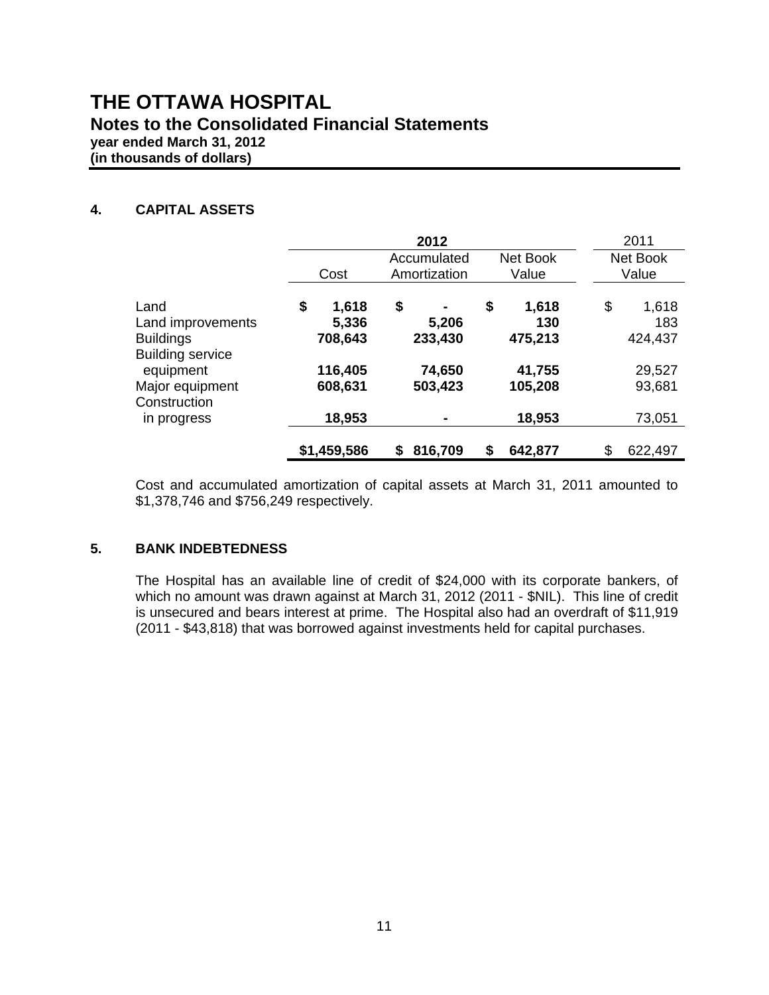# **THE OTTAWA HOSPITAL Notes to the Consolidated Financial Statements year ended March 31, 2012**

**(in thousands of dollars)** 

# **4. CAPITAL ASSETS**

|                                                                          | Cost                            | 2012<br>Accumulated<br>Amortization | Net Book<br>Value             | 2011<br>Net Book<br>Value     |
|--------------------------------------------------------------------------|---------------------------------|-------------------------------------|-------------------------------|-------------------------------|
| Land<br>Land improvements<br><b>Buildings</b><br><b>Building service</b> | \$<br>1,618<br>5,336<br>708,643 | \$<br>5,206<br>233,430              | \$<br>1,618<br>130<br>475,213 | \$<br>1,618<br>183<br>424,437 |
| equipment<br>Major equipment<br>Construction<br>in progress              | 116,405<br>608,631<br>18,953    | 74,650<br>503,423<br>۰              | 41,755<br>105,208<br>18,953   | 29,527<br>93,681<br>73,051    |
|                                                                          | \$1,459,586                     | 816,709<br>S                        | \$<br>642,877                 | \$<br>622,497                 |

Cost and accumulated amortization of capital assets at March 31, 2011 amounted to \$1,378,746 and \$756,249 respectively.

# **5. BANK INDEBTEDNESS**

The Hospital has an available line of credit of \$24,000 with its corporate bankers, of which no amount was drawn against at March 31, 2012 (2011 - \$NIL). This line of credit is unsecured and bears interest at prime. The Hospital also had an overdraft of \$11,919 (2011 - \$43,818) that was borrowed against investments held for capital purchases.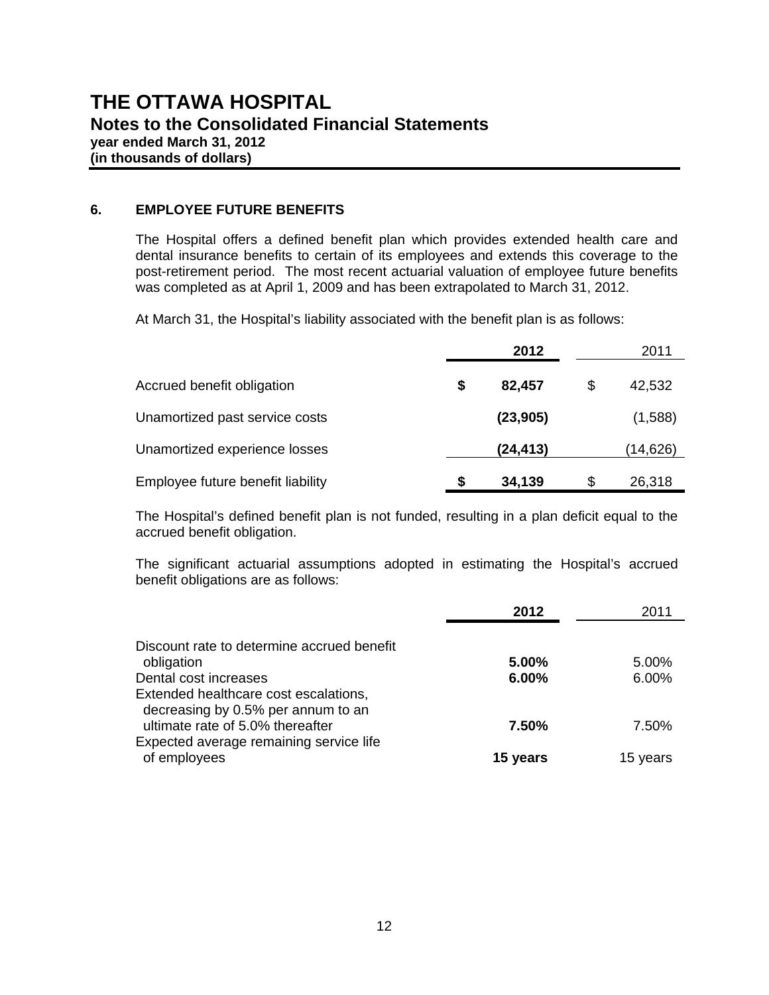# **6. EMPLOYEE FUTURE BENEFITS**

The Hospital offers a defined benefit plan which provides extended health care and dental insurance benefits to certain of its employees and extends this coverage to the post-retirement period. The most recent actuarial valuation of employee future benefits was completed as at April 1, 2009 and has been extrapolated to March 31, 2012.

At March 31, the Hospital's liability associated with the benefit plan is as follows:

|                                   |   | 2012      | 2011         |
|-----------------------------------|---|-----------|--------------|
| Accrued benefit obligation        | S | 82,457    | \$<br>42,532 |
| Unamortized past service costs    |   | (23, 905) | (1,588)      |
| Unamortized experience losses     |   | (24, 413) | (14,626)     |
| Employee future benefit liability | S | 34,139    | \$<br>26,318 |

The Hospital's defined benefit plan is not funded, resulting in a plan deficit equal to the accrued benefit obligation.

The significant actuarial assumptions adopted in estimating the Hospital's accrued benefit obligations are as follows:

|                                                                             | 2012     | 2011     |
|-----------------------------------------------------------------------------|----------|----------|
| Discount rate to determine accrued benefit<br>obligation                    | 5.00%    | 5.00%    |
| Dental cost increases                                                       | 6.00%    | 6.00%    |
| Extended healthcare cost escalations,<br>decreasing by 0.5% per annum to an |          |          |
| ultimate rate of 5.0% thereafter                                            | 7.50%    | 7.50%    |
| Expected average remaining service life<br>of employees                     | 15 years | 15 years |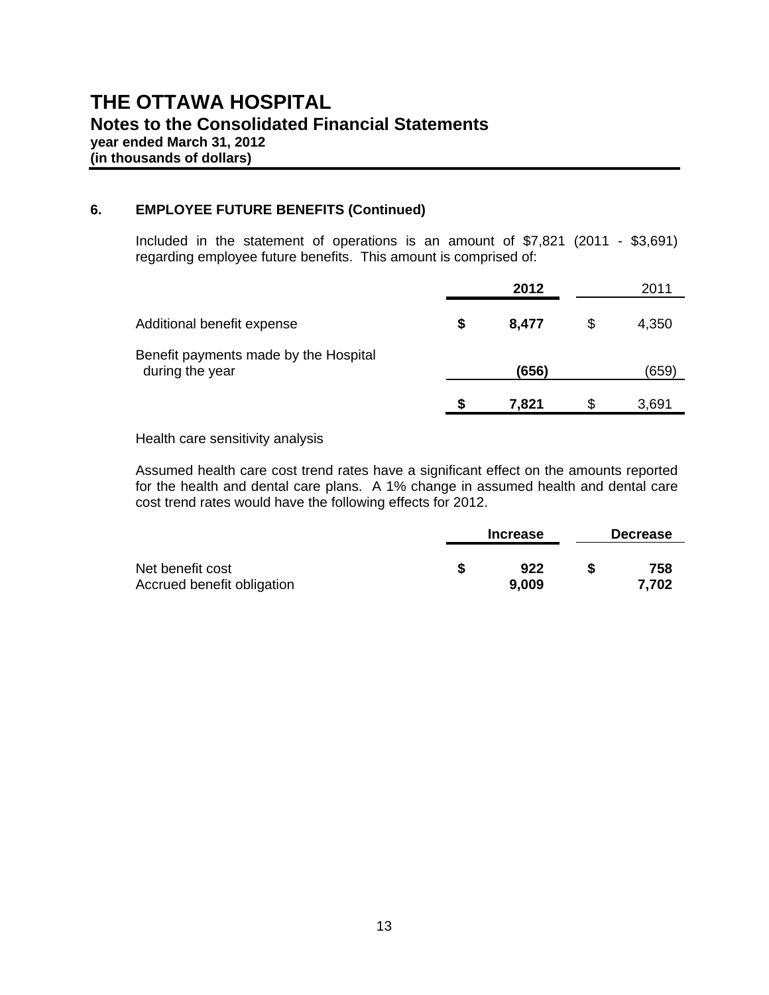### **6. EMPLOYEE FUTURE BENEFITS (Continued)**

Included in the statement of operations is an amount of \$7,821 (2011 - \$3,691) regarding employee future benefits. This amount is comprised of:

|                                                          |    | 2012  |    | 2011  |
|----------------------------------------------------------|----|-------|----|-------|
| Additional benefit expense                               | \$ | 8,477 | \$ | 4,350 |
| Benefit payments made by the Hospital<br>during the year |    | (656) |    | (659) |
|                                                          | S  | 7,821 | S  | 3,691 |

Health care sensitivity analysis

Assumed health care cost trend rates have a significant effect on the amounts reported for the health and dental care plans. A 1% change in assumed health and dental care cost trend rates would have the following effects for 2012.

|                                                | <b>Increase</b> |              | <b>Decrease</b> |              |
|------------------------------------------------|-----------------|--------------|-----------------|--------------|
| Net benefit cost<br>Accrued benefit obligation |                 | 922<br>9,009 |                 | 758<br>7,702 |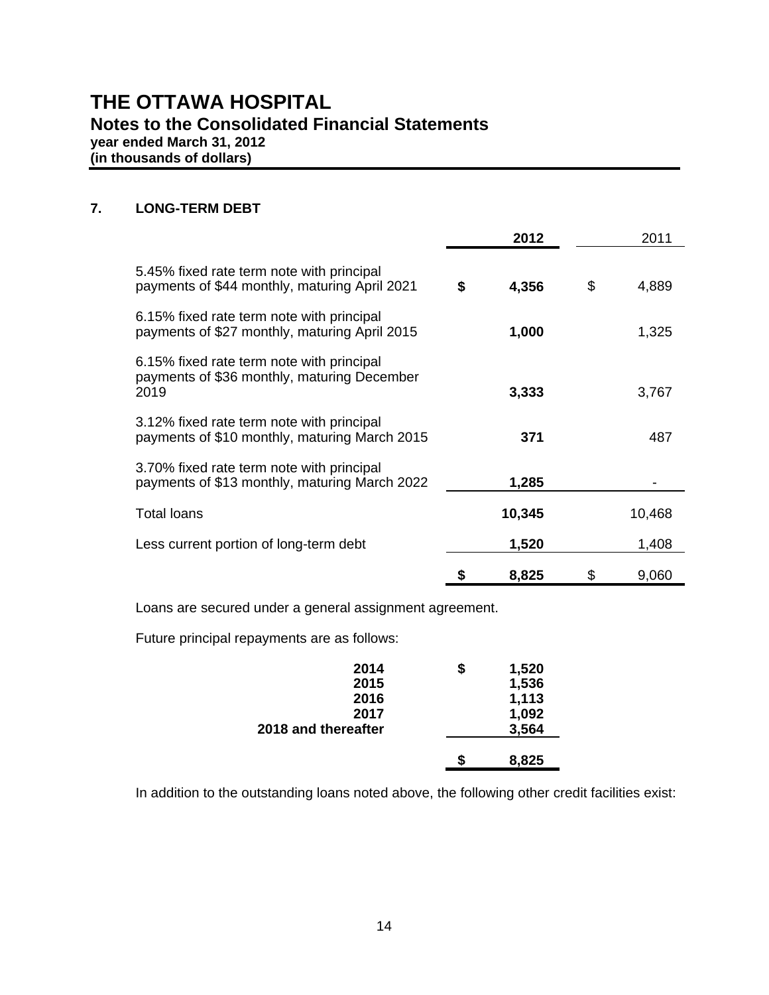# **THE OTTAWA HOSPITAL Notes to the Consolidated Financial Statements year ended March 31, 2012**

**(in thousands of dollars)** 

# **7. LONG-TERM DEBT**

|                                                                                                  | 2012        |    | 2011   |
|--------------------------------------------------------------------------------------------------|-------------|----|--------|
| 5.45% fixed rate term note with principal<br>payments of \$44 monthly, maturing April 2021       | \$<br>4,356 | \$ | 4,889  |
| 6.15% fixed rate term note with principal<br>payments of \$27 monthly, maturing April 2015       | 1,000       |    | 1,325  |
| 6.15% fixed rate term note with principal<br>payments of \$36 monthly, maturing December<br>2019 | 3,333       |    | 3,767  |
| 3.12% fixed rate term note with principal<br>payments of \$10 monthly, maturing March 2015       | 371         |    | 487    |
| 3.70% fixed rate term note with principal<br>payments of \$13 monthly, maturing March 2022       | 1,285       |    |        |
| <b>Total loans</b>                                                                               | 10,345      |    | 10,468 |
| Less current portion of long-term debt                                                           | 1,520       |    | 1,408  |
|                                                                                                  | 8,825       | S  | 9,060  |

Loans are secured under a general assignment agreement.

Future principal repayments are as follows:

| 2014                | \$<br>1,520 |
|---------------------|-------------|
| 2015                | 1,536       |
| 2016                | 1,113       |
| 2017                | 1,092       |
| 2018 and thereafter | 3,564       |
|                     | 8,825       |

In addition to the outstanding loans noted above, the following other credit facilities exist: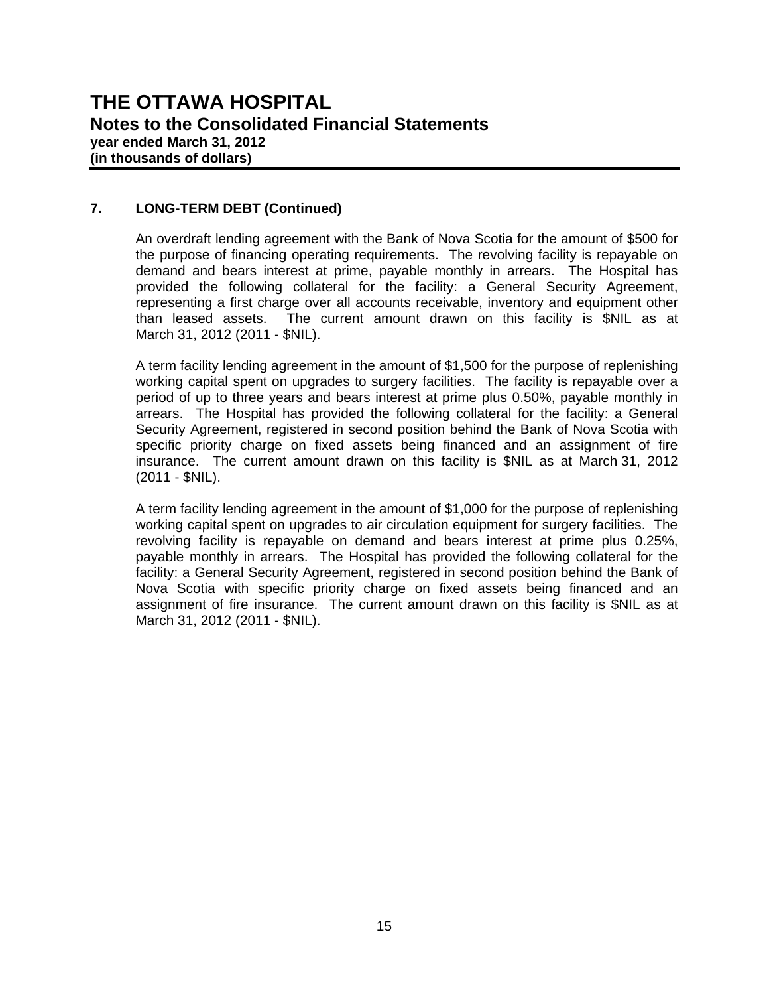# **7. LONG-TERM DEBT (Continued)**

An overdraft lending agreement with the Bank of Nova Scotia for the amount of \$500 for the purpose of financing operating requirements. The revolving facility is repayable on demand and bears interest at prime, payable monthly in arrears. The Hospital has provided the following collateral for the facility: a General Security Agreement, representing a first charge over all accounts receivable, inventory and equipment other than leased assets. The current amount drawn on this facility is \$NIL as at March 31, 2012 (2011 - \$NIL).

A term facility lending agreement in the amount of \$1,500 for the purpose of replenishing working capital spent on upgrades to surgery facilities. The facility is repayable over a period of up to three years and bears interest at prime plus 0.50%, payable monthly in arrears. The Hospital has provided the following collateral for the facility: a General Security Agreement, registered in second position behind the Bank of Nova Scotia with specific priority charge on fixed assets being financed and an assignment of fire insurance. The current amount drawn on this facility is \$NIL as at March 31, 2012 (2011 - \$NIL).

A term facility lending agreement in the amount of \$1,000 for the purpose of replenishing working capital spent on upgrades to air circulation equipment for surgery facilities. The revolving facility is repayable on demand and bears interest at prime plus 0.25%, payable monthly in arrears. The Hospital has provided the following collateral for the facility: a General Security Agreement, registered in second position behind the Bank of Nova Scotia with specific priority charge on fixed assets being financed and an assignment of fire insurance. The current amount drawn on this facility is \$NIL as at March 31, 2012 (2011 - \$NIL).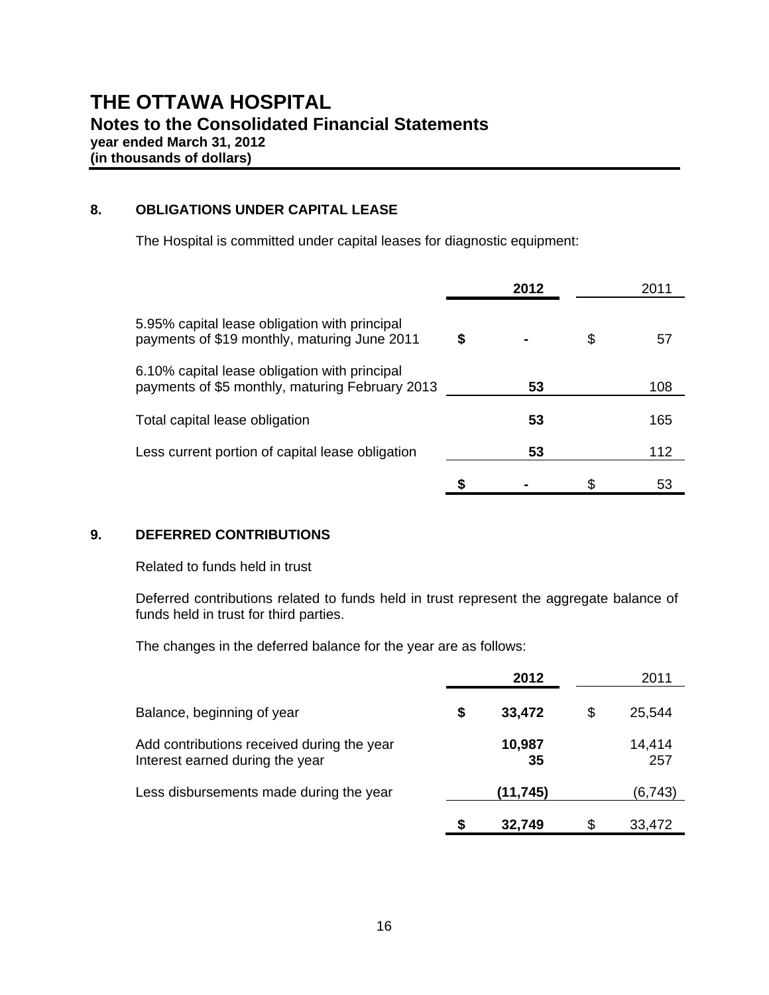# **8. OBLIGATIONS UNDER CAPITAL LEASE**

The Hospital is committed under capital leases for diagnostic equipment:

|                                                                                                  |   | 2012 |   | 2011 |
|--------------------------------------------------------------------------------------------------|---|------|---|------|
| 5.95% capital lease obligation with principal<br>payments of \$19 monthly, maturing June 2011    | S |      | S | 57   |
| 6.10% capital lease obligation with principal<br>payments of \$5 monthly, maturing February 2013 |   | 53   |   | 108  |
| Total capital lease obligation                                                                   |   | 53   |   | 165  |
| Less current portion of capital lease obligation                                                 |   | 53   |   | 112  |
|                                                                                                  |   |      |   | 53   |

# **9. DEFERRED CONTRIBUTIONS**

Related to funds held in trust

Deferred contributions related to funds held in trust represent the aggregate balance of funds held in trust for third parties.

The changes in the deferred balance for the year are as follows:

|                                                                               |   | 2012         | 2011          |
|-------------------------------------------------------------------------------|---|--------------|---------------|
| Balance, beginning of year                                                    | S | 33,472       | \$<br>25,544  |
| Add contributions received during the year<br>Interest earned during the year |   | 10,987<br>35 | 14,414<br>257 |
| Less disbursements made during the year                                       |   | (11, 745)    | (6, 743)      |
|                                                                               |   | 32,749       | \$<br>33,472  |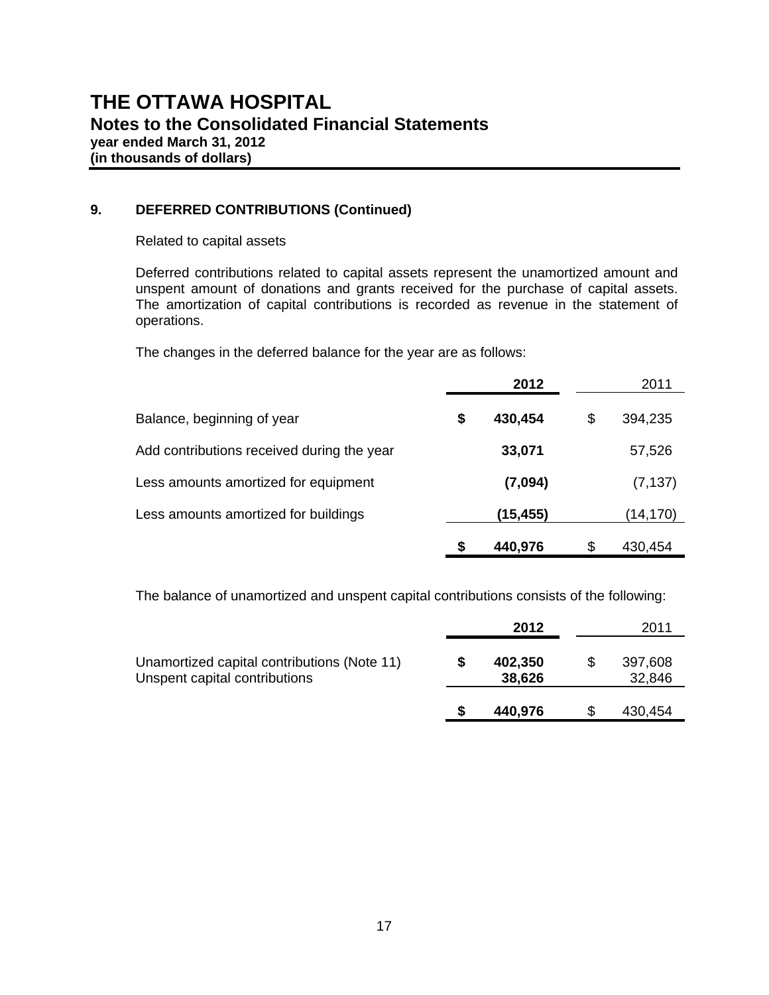# **9. DEFERRED CONTRIBUTIONS (Continued)**

Related to capital assets

Deferred contributions related to capital assets represent the unamortized amount and unspent amount of donations and grants received for the purchase of capital assets. The amortization of capital contributions is recorded as revenue in the statement of operations.

The changes in the deferred balance for the year are as follows:

|                                            |    | 2012     | 2011          |
|--------------------------------------------|----|----------|---------------|
| Balance, beginning of year                 | S  | 430,454  | \$<br>394,235 |
| Add contributions received during the year |    | 33,071   | 57,526        |
| Less amounts amortized for equipment       |    | (7,094)  | (7, 137)      |
| Less amounts amortized for buildings       |    | (15,455) | (14,170)      |
|                                            | \$ | 440,976  | \$<br>430,454 |

The balance of unamortized and unspent capital contributions consists of the following:

|                                                                              | 2012              |   | 2011              |
|------------------------------------------------------------------------------|-------------------|---|-------------------|
| Unamortized capital contributions (Note 11)<br>Unspent capital contributions | 402,350<br>38,626 | S | 397,608<br>32,846 |
|                                                                              | 440,976           |   | 430,454           |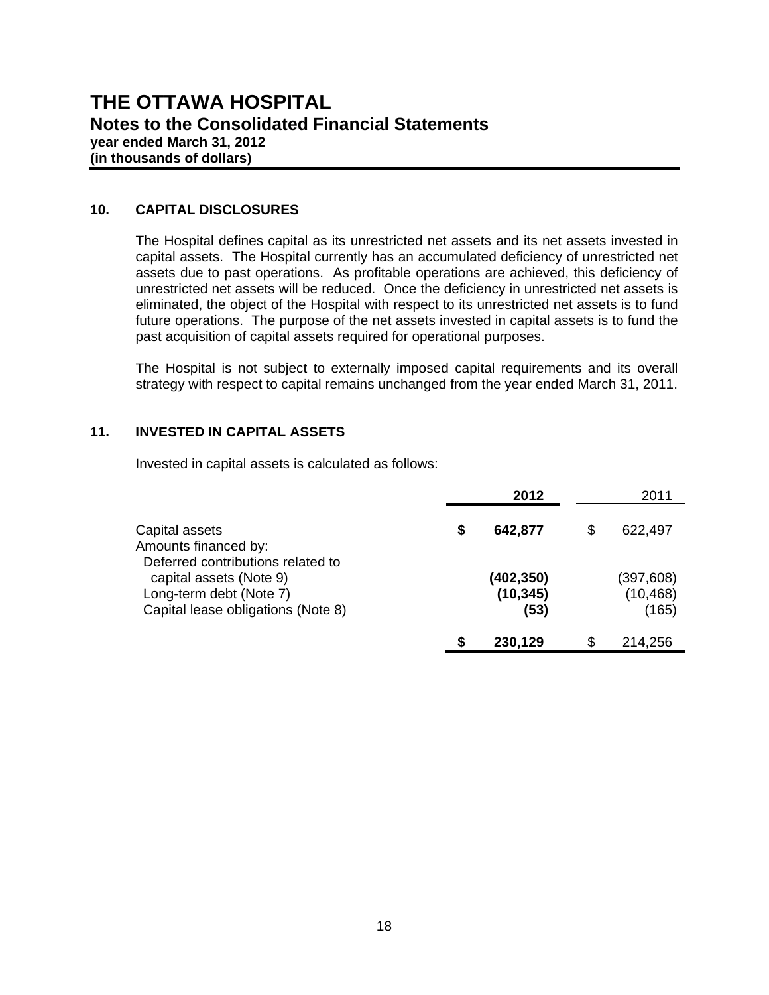# **10. CAPITAL DISCLOSURES**

 The Hospital defines capital as its unrestricted net assets and its net assets invested in capital assets. The Hospital currently has an accumulated deficiency of unrestricted net assets due to past operations. As profitable operations are achieved, this deficiency of unrestricted net assets will be reduced. Once the deficiency in unrestricted net assets is eliminated, the object of the Hospital with respect to its unrestricted net assets is to fund future operations. The purpose of the net assets invested in capital assets is to fund the past acquisition of capital assets required for operational purposes.

The Hospital is not subject to externally imposed capital requirements and its overall strategy with respect to capital remains unchanged from the year ended March 31, 2011.

# **11. INVESTED IN CAPITAL ASSETS**

Invested in capital assets is calculated as follows:

|                                                                                                                               |   | 2012                           |    | 2011                             |
|-------------------------------------------------------------------------------------------------------------------------------|---|--------------------------------|----|----------------------------------|
| Capital assets<br>Amounts financed by:                                                                                        | S | 642,877                        | S  | 622,497                          |
| Deferred contributions related to<br>capital assets (Note 9)<br>Long-term debt (Note 7)<br>Capital lease obligations (Note 8) |   | (402,350)<br>(10, 345)<br>(53) |    | (397, 608)<br>(10, 468)<br>(165) |
|                                                                                                                               |   | 230,129                        | S. | 214,256                          |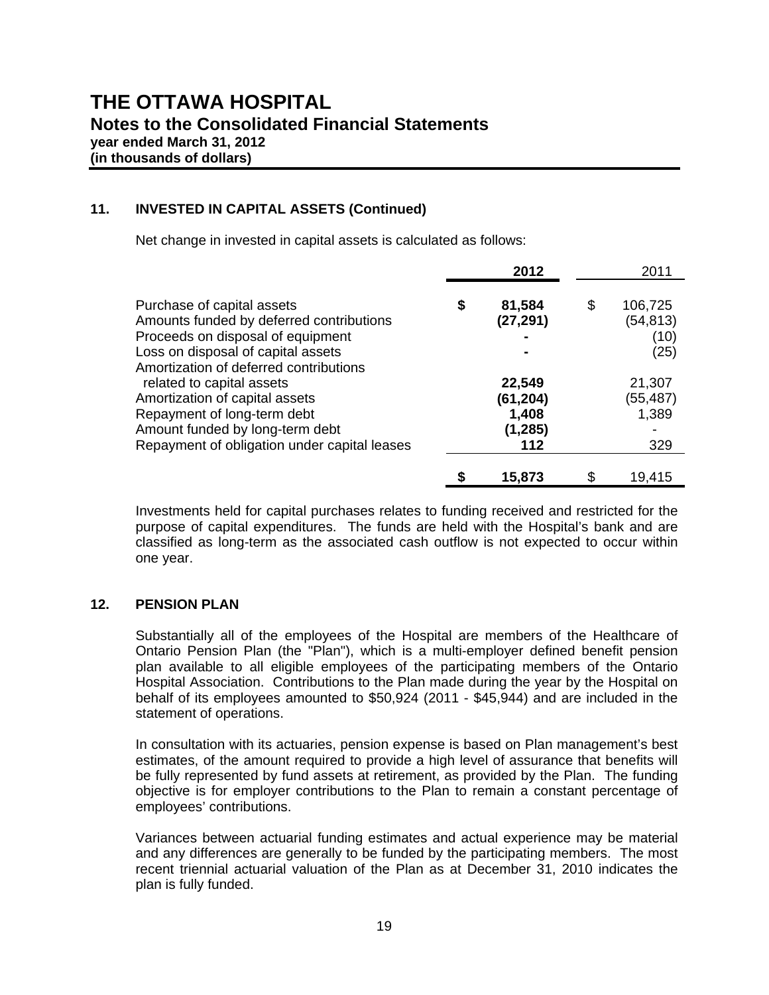# **THE OTTAWA HOSPITAL Notes to the Consolidated Financial Statements year ended March 31, 2012**

**(in thousands of dollars)** 

# **11. INVESTED IN CAPITAL ASSETS (Continued)**

Net change in invested in capital assets is calculated as follows:

|                                                                                                                                                                                             | 2012                     | 2011                                       |
|---------------------------------------------------------------------------------------------------------------------------------------------------------------------------------------------|--------------------------|--------------------------------------------|
| Purchase of capital assets<br>Amounts funded by deferred contributions<br>Proceeds on disposal of equipment<br>Loss on disposal of capital assets<br>Amortization of deferred contributions | \$<br>81,584<br>(27,291) | \$<br>106,725<br>(54, 813)<br>(10)<br>(25) |
| related to capital assets                                                                                                                                                                   | 22,549                   | 21,307                                     |
| Amortization of capital assets                                                                                                                                                              | (61, 204)                | (55, 487)                                  |
| Repayment of long-term debt                                                                                                                                                                 | 1,408                    | 1,389                                      |
| Amount funded by long-term debt                                                                                                                                                             | (1, 285)                 |                                            |
| Repayment of obligation under capital leases                                                                                                                                                | 112                      | 329                                        |
|                                                                                                                                                                                             | 15,873                   | \$<br>19,415                               |

Investments held for capital purchases relates to funding received and restricted for the purpose of capital expenditures. The funds are held with the Hospital's bank and are classified as long-term as the associated cash outflow is not expected to occur within one year.

#### **12. PENSION PLAN**

 Substantially all of the employees of the Hospital are members of the Healthcare of Ontario Pension Plan (the "Plan"), which is a multi-employer defined benefit pension plan available to all eligible employees of the participating members of the Ontario Hospital Association. Contributions to the Plan made during the year by the Hospital on behalf of its employees amounted to \$50,924 (2011 - \$45,944) and are included in the statement of operations.

 In consultation with its actuaries, pension expense is based on Plan management's best estimates, of the amount required to provide a high level of assurance that benefits will be fully represented by fund assets at retirement, as provided by the Plan. The funding objective is for employer contributions to the Plan to remain a constant percentage of employees' contributions.

 Variances between actuarial funding estimates and actual experience may be material and any differences are generally to be funded by the participating members. The most recent triennial actuarial valuation of the Plan as at December 31, 2010 indicates the plan is fully funded.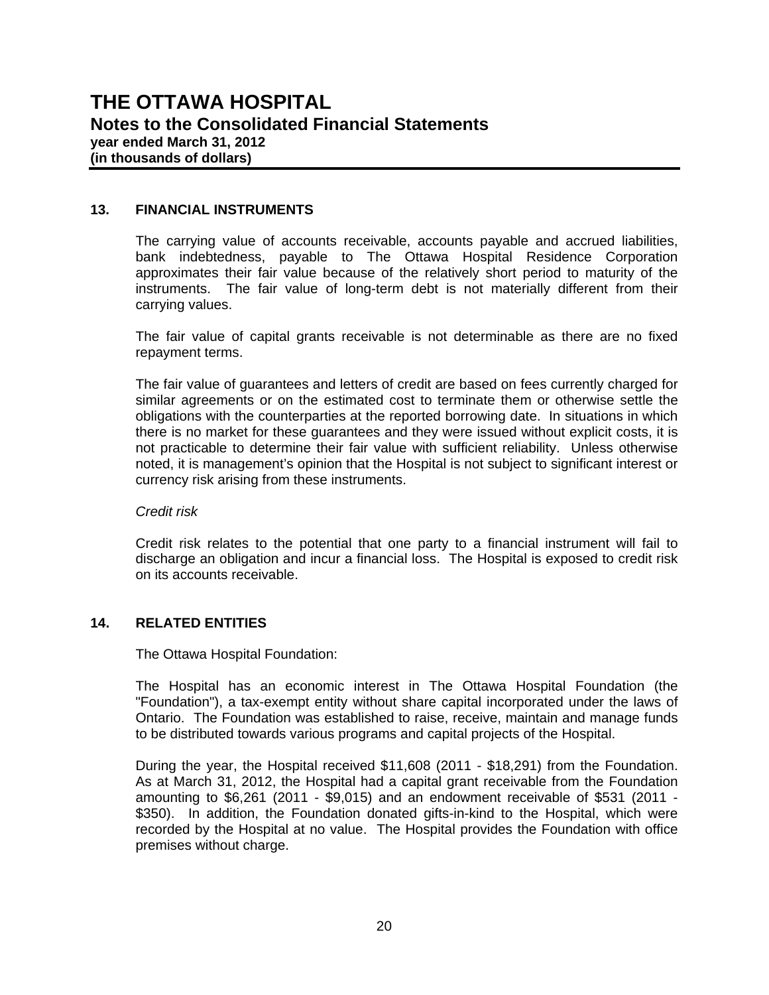# **13. FINANCIAL INSTRUMENTS**

The carrying value of accounts receivable, accounts payable and accrued liabilities, bank indebtedness, payable to The Ottawa Hospital Residence Corporation approximates their fair value because of the relatively short period to maturity of the instruments. The fair value of long-term debt is not materially different from their carrying values.

The fair value of capital grants receivable is not determinable as there are no fixed repayment terms.

 The fair value of guarantees and letters of credit are based on fees currently charged for similar agreements or on the estimated cost to terminate them or otherwise settle the obligations with the counterparties at the reported borrowing date. In situations in which there is no market for these guarantees and they were issued without explicit costs, it is not practicable to determine their fair value with sufficient reliability. Unless otherwise noted, it is management's opinion that the Hospital is not subject to significant interest or currency risk arising from these instruments.

#### *Credit risk*

 Credit risk relates to the potential that one party to a financial instrument will fail to discharge an obligation and incur a financial loss. The Hospital is exposed to credit risk on its accounts receivable.

### **14. RELATED ENTITIES**

The Ottawa Hospital Foundation:

 The Hospital has an economic interest in The Ottawa Hospital Foundation (the "Foundation"), a tax-exempt entity without share capital incorporated under the laws of Ontario. The Foundation was established to raise, receive, maintain and manage funds to be distributed towards various programs and capital projects of the Hospital.

 During the year, the Hospital received \$11,608 (2011 - \$18,291) from the Foundation. As at March 31, 2012, the Hospital had a capital grant receivable from the Foundation amounting to \$6,261 (2011 - \$9,015) and an endowment receivable of \$531 (2011 - \$350). In addition, the Foundation donated gifts-in-kind to the Hospital, which were recorded by the Hospital at no value. The Hospital provides the Foundation with office premises without charge.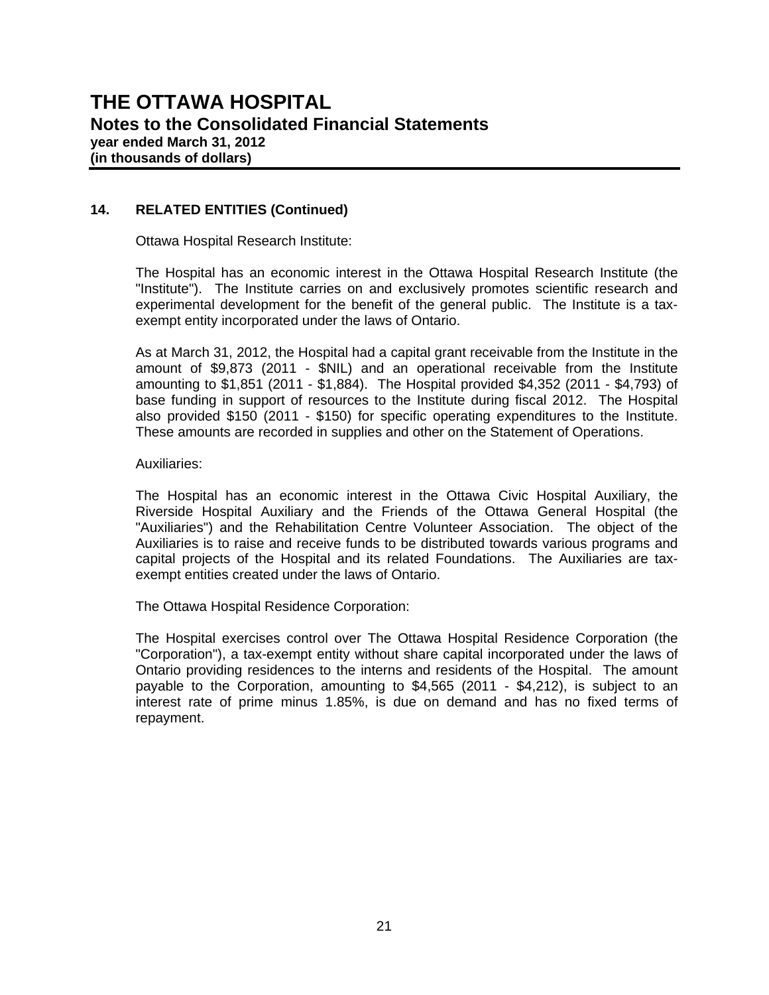# **14. RELATED ENTITIES (Continued)**

Ottawa Hospital Research Institute:

 The Hospital has an economic interest in the Ottawa Hospital Research Institute (the "Institute"). The Institute carries on and exclusively promotes scientific research and experimental development for the benefit of the general public. The Institute is a taxexempt entity incorporated under the laws of Ontario.

 As at March 31, 2012, the Hospital had a capital grant receivable from the Institute in the amount of \$9,873 (2011 - \$NIL) and an operational receivable from the Institute amounting to \$1,851 (2011 - \$1,884). The Hospital provided \$4,352 (2011 - \$4,793) of base funding in support of resources to the Institute during fiscal 2012. The Hospital also provided \$150 (2011 - \$150) for specific operating expenditures to the Institute. These amounts are recorded in supplies and other on the Statement of Operations.

Auxiliaries:

 The Hospital has an economic interest in the Ottawa Civic Hospital Auxiliary, the Riverside Hospital Auxiliary and the Friends of the Ottawa General Hospital (the "Auxiliaries") and the Rehabilitation Centre Volunteer Association. The object of the Auxiliaries is to raise and receive funds to be distributed towards various programs and capital projects of the Hospital and its related Foundations. The Auxiliaries are taxexempt entities created under the laws of Ontario.

The Ottawa Hospital Residence Corporation:

 The Hospital exercises control over The Ottawa Hospital Residence Corporation (the "Corporation"), a tax-exempt entity without share capital incorporated under the laws of Ontario providing residences to the interns and residents of the Hospital. The amount payable to the Corporation, amounting to \$4,565 (2011 - \$4,212), is subject to an interest rate of prime minus 1.85%, is due on demand and has no fixed terms of repayment.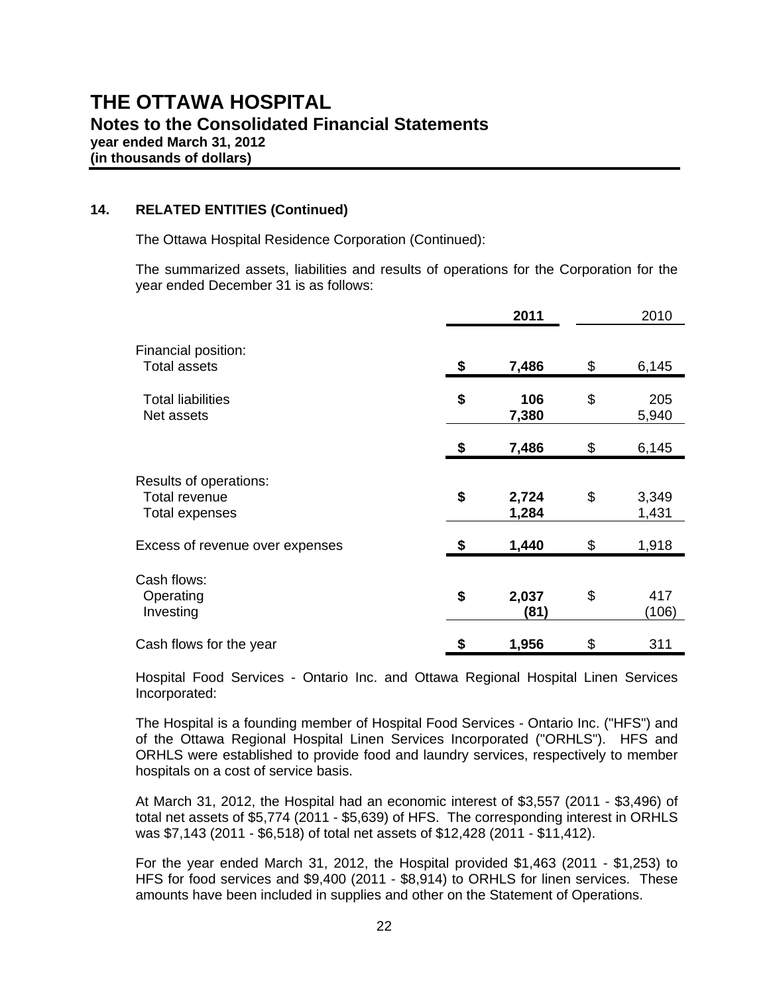### **14. RELATED ENTITIES (Continued)**

The Ottawa Hospital Residence Corporation (Continued):

 The summarized assets, liabilities and results of operations for the Corporation for the year ended December 31 is as follows:

|                                                           | 2011                 | 2010                 |
|-----------------------------------------------------------|----------------------|----------------------|
| Financial position:<br><b>Total assets</b>                | \$<br>7,486          | \$<br>6,145          |
| <b>Total liabilities</b><br>Net assets                    | \$<br>106<br>7,380   | \$<br>205<br>5,940   |
|                                                           | \$<br>7,486          | \$<br>6,145          |
| Results of operations:<br>Total revenue<br>Total expenses | \$<br>2,724<br>1,284 | \$<br>3,349<br>1,431 |
| Excess of revenue over expenses                           | \$<br>1,440          | \$<br>1,918          |
| Cash flows:<br>Operating<br>Investing                     | \$<br>2,037<br>(81)  | \$<br>417<br>(106)   |
| Cash flows for the year                                   | \$<br>1,956          | \$<br>311            |

 Hospital Food Services - Ontario Inc. and Ottawa Regional Hospital Linen Services Incorporated:

 The Hospital is a founding member of Hospital Food Services - Ontario Inc. ("HFS") and of the Ottawa Regional Hospital Linen Services Incorporated ("ORHLS"). HFS and ORHLS were established to provide food and laundry services, respectively to member hospitals on a cost of service basis.

 At March 31, 2012, the Hospital had an economic interest of \$3,557 (2011 - \$3,496) of total net assets of \$5,774 (2011 - \$5,639) of HFS. The corresponding interest in ORHLS was \$7,143 (2011 - \$6,518) of total net assets of \$12,428 (2011 - \$11,412).

 For the year ended March 31, 2012, the Hospital provided \$1,463 (2011 - \$1,253) to HFS for food services and \$9,400 (2011 - \$8,914) to ORHLS for linen services. These amounts have been included in supplies and other on the Statement of Operations.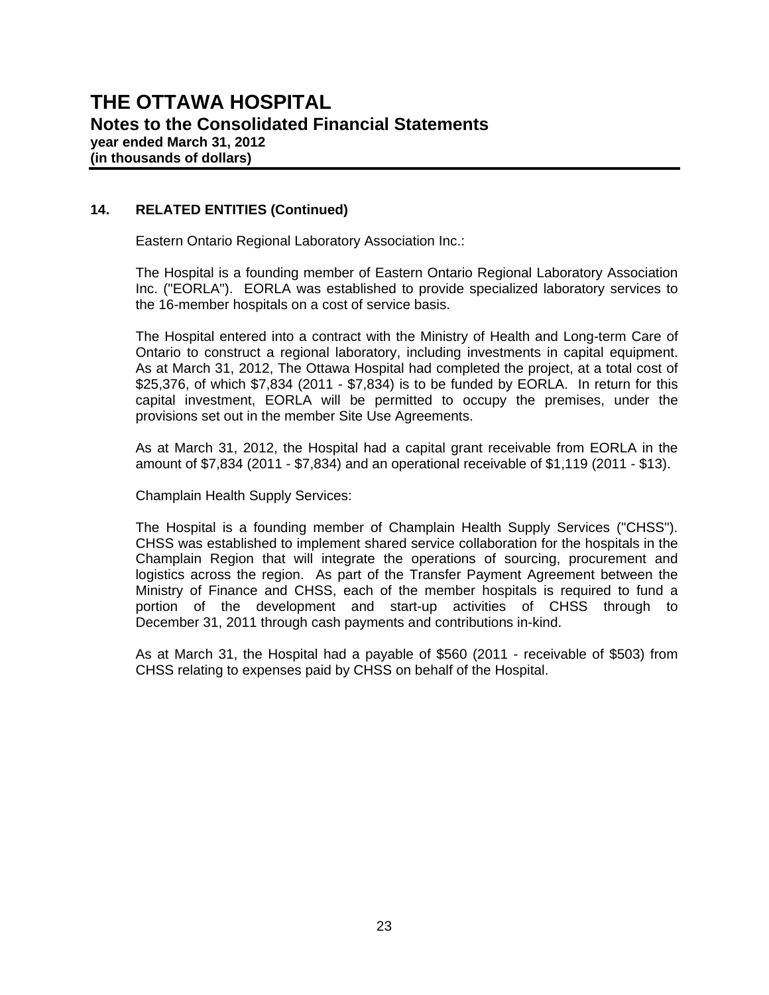# **14. RELATED ENTITIES (Continued)**

Eastern Ontario Regional Laboratory Association Inc.:

 The Hospital is a founding member of Eastern Ontario Regional Laboratory Association Inc. ("EORLA"). EORLA was established to provide specialized laboratory services to the 16-member hospitals on a cost of service basis.

 The Hospital entered into a contract with the Ministry of Health and Long-term Care of Ontario to construct a regional laboratory, including investments in capital equipment. As at March 31, 2012, The Ottawa Hospital had completed the project, at a total cost of \$25,376, of which \$7,834 (2011 - \$7,834) is to be funded by EORLA. In return for this capital investment, EORLA will be permitted to occupy the premises, under the provisions set out in the member Site Use Agreements.

 As at March 31, 2012, the Hospital had a capital grant receivable from EORLA in the amount of \$7,834 (2011 - \$7,834) and an operational receivable of \$1,119 (2011 - \$13).

Champlain Health Supply Services:

 The Hospital is a founding member of Champlain Health Supply Services ("CHSS"). CHSS was established to implement shared service collaboration for the hospitals in the Champlain Region that will integrate the operations of sourcing, procurement and logistics across the region. As part of the Transfer Payment Agreement between the Ministry of Finance and CHSS, each of the member hospitals is required to fund a portion of the development and start-up activities of CHSS through to December 31, 2011 through cash payments and contributions in-kind.

 As at March 31, the Hospital had a payable of \$560 (2011 - receivable of \$503) from CHSS relating to expenses paid by CHSS on behalf of the Hospital.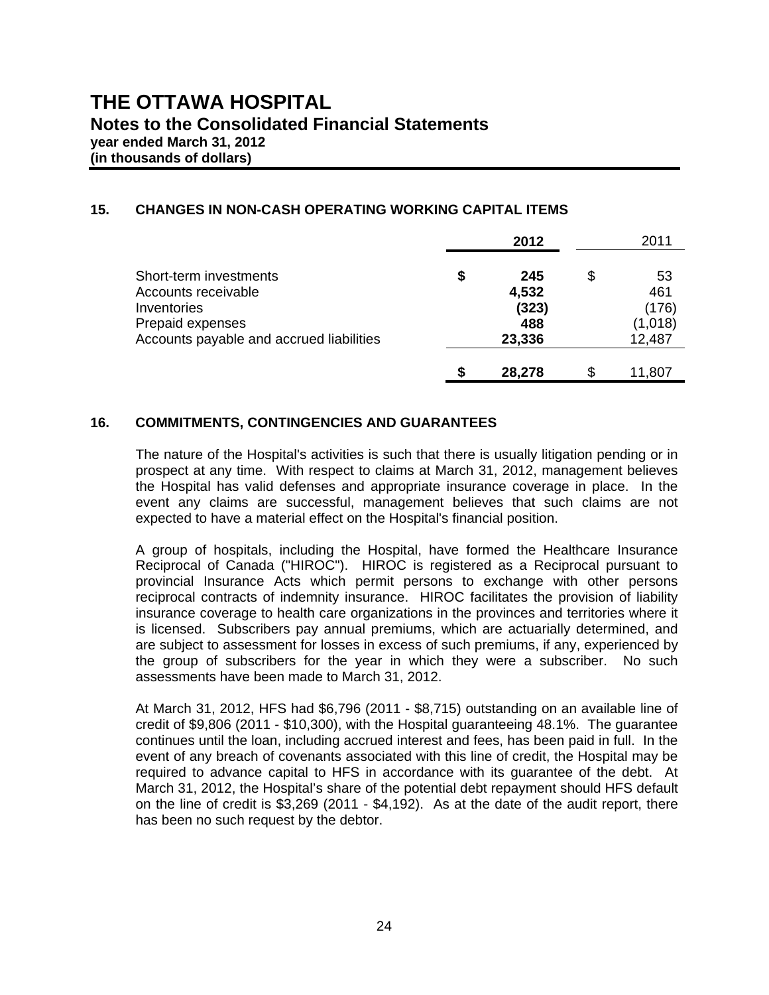# **15. CHANGES IN NON-CASH OPERATING WORKING CAPITAL ITEMS**

|                                          |   | 2012   | 2011         |
|------------------------------------------|---|--------|--------------|
| Short-term investments                   | S | 245    | \$<br>53     |
| Accounts receivable                      |   | 4,532  | 461          |
| Inventories                              |   | (323)  | (176)        |
| Prepaid expenses                         |   | 488    | (1,018)      |
| Accounts payable and accrued liabilities |   | 23,336 | 12,487       |
|                                          |   |        |              |
|                                          | S | 28,278 | \$<br>11,807 |

# **16. COMMITMENTS, CONTINGENCIES AND GUARANTEES**

 The nature of the Hospital's activities is such that there is usually litigation pending or in prospect at any time. With respect to claims at March 31, 2012, management believes the Hospital has valid defenses and appropriate insurance coverage in place. In the event any claims are successful, management believes that such claims are not expected to have a material effect on the Hospital's financial position.

 A group of hospitals, including the Hospital, have formed the Healthcare Insurance Reciprocal of Canada ("HIROC"). HIROC is registered as a Reciprocal pursuant to provincial Insurance Acts which permit persons to exchange with other persons reciprocal contracts of indemnity insurance. HIROC facilitates the provision of liability insurance coverage to health care organizations in the provinces and territories where it is licensed. Subscribers pay annual premiums, which are actuarially determined, and are subject to assessment for losses in excess of such premiums, if any, experienced by the group of subscribers for the year in which they were a subscriber. No such assessments have been made to March 31, 2012.

At March 31, 2012, HFS had \$6,796 (2011 - \$8,715) outstanding on an available line of credit of \$9,806 (2011 - \$10,300), with the Hospital guaranteeing 48.1%. The guarantee continues until the loan, including accrued interest and fees, has been paid in full. In the event of any breach of covenants associated with this line of credit, the Hospital may be required to advance capital to HFS in accordance with its guarantee of the debt. At March 31, 2012, the Hospital's share of the potential debt repayment should HFS default on the line of credit is \$3,269 (2011 - \$4,192). As at the date of the audit report, there has been no such request by the debtor.